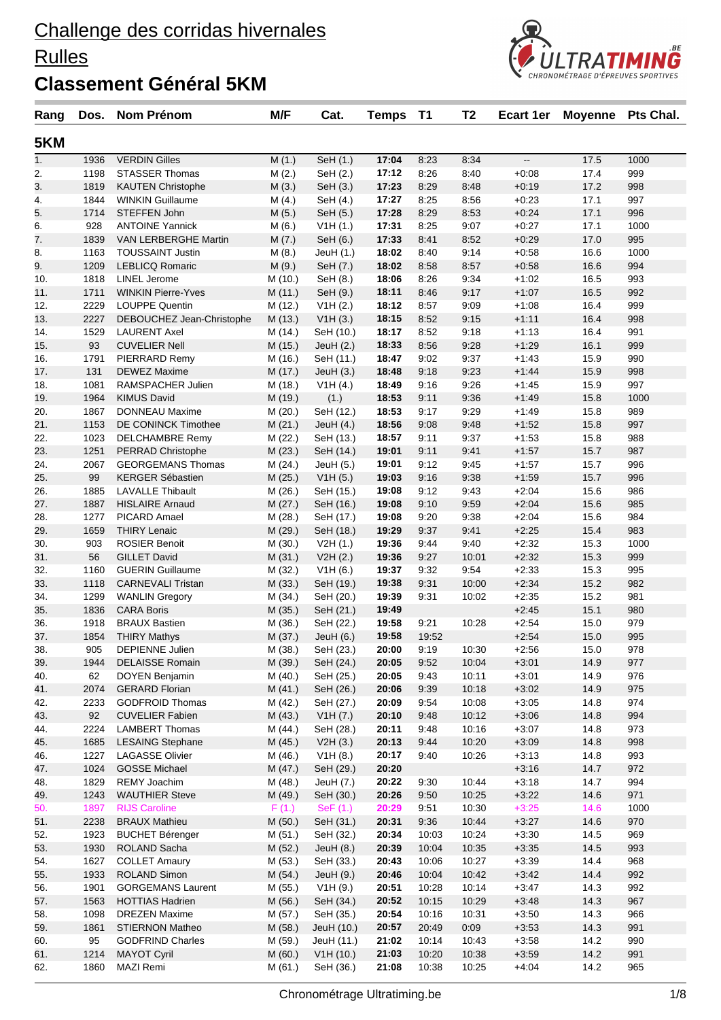#### **Rulles**



| Rang       | Dos.         | <b>Nom Prénom</b>                   | M/F                | Cat.                   | <b>Temps</b>   | <b>T1</b>    | T <sub>2</sub> | Ecart 1er          | <b>Moyenne</b> | Pts Chal.  |
|------------|--------------|-------------------------------------|--------------------|------------------------|----------------|--------------|----------------|--------------------|----------------|------------|
| 5KM        |              |                                     |                    |                        |                |              |                |                    |                |            |
| 1.         | 1936         | <b>VERDIN Gilles</b>                | M(1.)              | SeH (1.)               | 17:04          | 8:23         | 8:34           | --                 | 17.5           | 1000       |
| 2.         | 1198         | <b>STASSER Thomas</b>               | M(2.)              | SeH (2.)               | 17:12          | 8:26         | 8:40           | $+0.08$            | 17.4           | 999        |
| 3.         | 1819         | <b>KAUTEN Christophe</b>            | M(3.)              | SeH (3.)               | 17:23          | 8:29         | 8:48           | $+0.19$            | 17.2           | 998        |
| 4.         | 1844         | <b>WINKIN Guillaume</b>             | M(4.)              | SeH (4.)               | 17:27          | 8:25         | 8:56           | $+0:23$            | 17.1           | 997        |
| 5.         | 1714         | STEFFEN John                        | M(5.)              | SeH (5.)               | 17:28          | 8:29         | 8:53           | $+0.24$            | 17.1           | 996        |
| 6.         | 928          | <b>ANTOINE Yannick</b>              | M(6.)              | V1H(1.)                | 17:31          | 8:25         | 9:07           | $+0:27$            | 17.1           | 1000       |
| 7.         | 1839         | VAN LERBERGHE Martin                | M(7.)              | SeH (6.)               | 17:33          | 8:41         | 8:52           | $+0:29$            | 17.0           | 995        |
| 8.         | 1163         | <b>TOUSSAINT Justin</b>             | M(8.)              | JeuH $(1.)$            | 18:02          | 8:40         | 9:14           | $+0.58$            | 16.6           | 1000       |
| 9.         | 1209         | <b>LEBLICQ Romaric</b>              | M(9.)              | SeH (7.)               | 18:02          | 8:58         | 8:57           | $+0.58$            | 16.6           | 994        |
| 10.        | 1818         | LINEL Jerome                        | M (10.)            | SeH (8.)               | 18:06          | 8:26         | 9:34           | $+1:02$            | 16.5           | 993        |
| 11.        | 1711         | <b>WINKIN Pierre-Yves</b>           | M(11.)             | SeH (9.)               | 18:11          | 8:46         | 9:17           | $+1:07$            | 16.5           | 992        |
| 12.        | 2229         | <b>LOUPPE Quentin</b>               | M (12.)            | V1H(2.)                | 18:12          | 8:57         | 9:09           | $+1:08$            | 16.4           | 999        |
| 13.        | 2227         | DEBOUCHEZ Jean-Christophe           | M (13.)            | V1H(3.)                | 18:15          | 8:52         | 9:15           | $+1:11$            | 16.4           | 998        |
| 14.        | 1529         | <b>LAURENT Axel</b>                 | M (14.)            | SeH (10.)              | 18:17          | 8:52         | 9:18           | $+1:13$            | 16.4           | 991        |
| 15.        | 93           | <b>CUVELIER Nell</b>                | M (15.)            | JeuH $(2.)$            | 18:33          | 8:56         | 9:28           | $+1:29$            | 16.1           | 999        |
| 16.        | 1791         | PIERRARD Remy                       | M (16.)            | SeH (11.)              | 18:47          | 9:02         | 9:37           | $+1:43$            | 15.9           | 990        |
| 17.        | 131          | <b>DEWEZ Maxime</b>                 | M (17.)            | JeuH $(3.)$            | 18:48          | 9:18         | 9:23           | $+1:44$            | 15.9           | 998        |
| 18.        | 1081         | RAMSPACHER Julien                   | M (18.)            | V1H(4.)                | 18:49          | 9:16         | 9:26           | $+1:45$            | 15.9           | 997        |
| 19.        | 1964         | <b>KIMUS David</b>                  | M (19.)            | (1.)                   | 18:53          | 9:11         | 9:36           | $+1:49$            | 15.8           | 1000       |
| 20.        | 1867         | <b>DONNEAU Maxime</b>               | M (20.)            | SeH (12.)              | 18:53          | 9:17         | 9:29           | $+1:49$            | 15.8           | 989        |
| 21.        | 1153         | DE CONINCK Timothee                 | M(21.)             | JeuH $(4.)$            | 18:56          | 9:08         | 9:48           | $+1:52$            | 15.8           | 997        |
| 22.        | 1023         | <b>DELCHAMBRE Remy</b>              | M(22.)             | SeH (13.)              | 18:57          | 9:11         | 9:37           | $+1:53$            | 15.8           | 988        |
| 23.        | 1251         | <b>PERRAD Christophe</b>            | M(23.)             | SeH (14.)              | 19:01          | 9:11         | 9:41           | $+1:57$            | 15.7           | 987        |
| 24.        | 2067         | <b>GEORGEMANS Thomas</b>            | M (24.)            | JeuH (5.)              | 19:01          | 9:12         | 9:45           | $+1:57$            | 15.7           | 996        |
| 25.        | 99           | <b>KERGER Sébastien</b>             | M(25.)             | V1H(5.)                | 19:03          | 9:16         | 9:38           | $+1:59$            | 15.7           | 996        |
| 26.        | 1885         | <b>LAVALLE Thibault</b>             | M (26.)            | SeH (15.)              | 19:08          | 9:12         | 9:43           | $+2:04$            | 15.6           | 986        |
| 27.        | 1887<br>1277 | <b>HISLAIRE Arnaud</b>              | M(27.)             | SeH (16.)              | 19:08          | 9:10         | 9:59           | $+2:04$            | 15.6           | 985<br>984 |
| 28.<br>29. | 1659         | PICARD Amael<br><b>THIRY Lenaic</b> | M (28.)            | SeH (17.)<br>SeH (18.) | 19:08<br>19:29 | 9:20<br>9:37 | 9:38<br>9:41   | $+2:04$<br>$+2:25$ | 15.6<br>15.4   | 983        |
| 30.        | 903          | <b>ROSIER Benoit</b>                | M (29.)<br>M (30.) | V2H(1.)                | 19:36          | 9:44         | 9:40           | $+2:32$            | 15.3           | 1000       |
| 31.        | 56           | <b>GILLET David</b>                 | M(31.)             | V2H(2.)                | 19:36          | 9:27         | 10:01          | $+2:32$            | 15.3           | 999        |
| 32.        | 1160         | <b>GUERIN Guillaume</b>             | M (32.)            | V1H(6.)                | 19:37          | 9:32         | 9:54           | $+2:33$            | 15.3           | 995        |
| 33.        | 1118         | <b>CARNEVALI Tristan</b>            | M(33.)             | SeH (19.)              | 19:38          | 9:31         | 10:00          | $+2:34$            | 15.2           | 982        |
| 34.        | 1299         | <b>WANLIN Gregory</b>               | M (34.)            | SeH (20.)              | 19:39          | 9:31         | 10:02          | $+2:35$            | 15.2           | 981        |
| 35.        | 1836         | <b>CARA Boris</b>                   | M(35.)             | SeH (21.)              | 19:49          |              |                | $+2:45$            | 15.1           | 980        |
| 36.        | 1918         | <b>BRAUX Bastien</b>                | M (36.)            | SeH (22.)              | 19:58          | 9:21         | 10:28          | $+2:54$            | 15.0           | 979        |
| 37.        | 1854         | <b>THIRY Mathys</b>                 | M (37.)            | JeuH $(6.)$            | 19:58          | 19:52        |                | $+2:54$            | 15.0           | 995        |
| 38.        | 905          | <b>DEPIENNE Julien</b>              | M (38.)            | SeH (23.)              | 20:00          | 9:19         | 10:30          | $+2:56$            | 15.0           | 978        |
| 39.        | 1944         | <b>DELAISSE Romain</b>              | M (39.)            | SeH (24.)              | 20:05          | 9:52         | 10:04          | $+3:01$            | 14.9           | 977        |
| 40.        | 62           | DOYEN Benjamin                      | M (40.)            | SeH (25.)              | 20:05          | 9:43         | 10:11          | $+3:01$            | 14.9           | 976        |
| 41.        | 2074         | <b>GERARD Florian</b>               | M(41.)             | SeH (26.)              | 20:06          | 9:39         | 10:18          | $+3:02$            | 14.9           | 975        |
| 42.        | 2233         | <b>GODFROID Thomas</b>              | M (42.)            | SeH (27.)              | 20:09          | 9:54         | 10:08          | $+3:05$            | 14.8           | 974        |
| 43.        | 92           | <b>CUVELIER Fabien</b>              | M(43.)             | V1H (7.)               | 20:10          | 9:48         | 10:12          | $+3:06$            | 14.8           | 994        |
| 44.        | 2224         | <b>LAMBERT Thomas</b>               | M (44.)            | SeH (28.)              | 20:11          | 9:48         | 10:16          | $+3:07$            | 14.8           | 973        |
| 45.        | 1685         | <b>LESAING Stephane</b>             | M (45.)            | V2H(3.)                | 20:13          | 9:44         | 10:20          | $+3:09$            | 14.8           | 998        |
| 46.        | 1227         | <b>LAGASSE Olivier</b>              | M (46.)            | V1H(8.)                | 20:17          | 9:40         | 10:26          | $+3:13$            | 14.8           | 993        |
| 47.        | 1024         | <b>GOSSE Michael</b>                | M(47.)             | SeH (29.)              | 20:20          |              |                | $+3:16$            | 14.7           | 972        |
| 48.        | 1829         | REMY Joachim                        | M (48.)            | JeuH (7.)              | 20:22          | 9:30         | 10:44          | $+3:18$            | 14.7           | 994        |
| 49.        | 1243         | <b>WAUTHIER Steve</b>               | M (49.)            | SeH (30.)              | 20:26          | 9:50         | 10:25          | $+3:22$            | 14.6           | 971        |
| 50.        | 1897         | <b>RIJS Caroline</b>                | F(1.)              | $\text{SeF}(1.)$       | 20:29          | 9:51         | 10:30          | $+3:25$            | 14.6           | 1000       |
| 51.        | 2238         | <b>BRAUX Mathieu</b>                | M(50.)             | SeH (31.)              | 20:31          | 9:36         | 10:44          | $+3:27$            | 14.6           | 970        |
| 52.        | 1923         | <b>BUCHET Bérenger</b>              | M (51.)            | SeH (32.)              | 20:34          | 10:03        | 10:24          | $+3:30$            | 14.5           | 969        |
| 53.        | 1930         | ROLAND Sacha                        | M (52.)            | JeuH $(8.)$            | 20:39          | 10:04        | 10:35          | $+3:35$            | 14.5           | 993        |
| 54.        | 1627         | <b>COLLET Amaury</b>                | M (53.)            | SeH (33.)              | 20:43          | 10:06        | 10:27          | $+3:39$            | 14.4           | 968        |
| 55.        | 1933         | ROLAND Simon                        | M (54.)            | JeuH (9.)              | 20:46          | 10:04        | 10:42          | $+3:42$            | 14.4           | 992        |
| 56.        | 1901         | <b>GORGEMANS Laurent</b>            | M (55.)            | V1H(9.)                | 20:51          | 10:28        | 10:14          | $+3:47$            | 14.3           | 992        |
| 57.        | 1563         | <b>HOTTIAS Hadrien</b>              | M (56.)            | SeH (34.)              | 20:52          | 10:15        | 10:29          | $+3:48$            | 14.3           | 967        |
| 58.        | 1098         | <b>DREZEN Maxime</b>                | M (57.)            | SeH (35.)              | 20:54          | 10:16        | 10:31          | $+3:50$            | 14.3           | 966        |
| 59.        | 1861         | <b>STIERNON Matheo</b>              | M (58.)            | JeuH (10.)             | 20:57          | 20:49        | 0:09           | $+3.53$            | 14.3           | 991        |
| 60.        | 95           | <b>GODFRIND Charles</b>             | M (59.)            | JeuH (11.)             | 21:02          | 10:14        | 10:43          | $+3:58$            | 14.2           | 990        |
| 61.        | 1214         | <b>MAYOT Cyril</b>                  | M(60.)             | V1H(10.)               | 21:03          | 10:20        | 10:38          | $+3.59$            | 14.2           | 991        |
| 62.        | 1860         | MAZI Remi                           | M (61.)            | SeH (36.)              | 21:08          | 10:38        | 10:25          | $+4:04$            | 14.2           | 965        |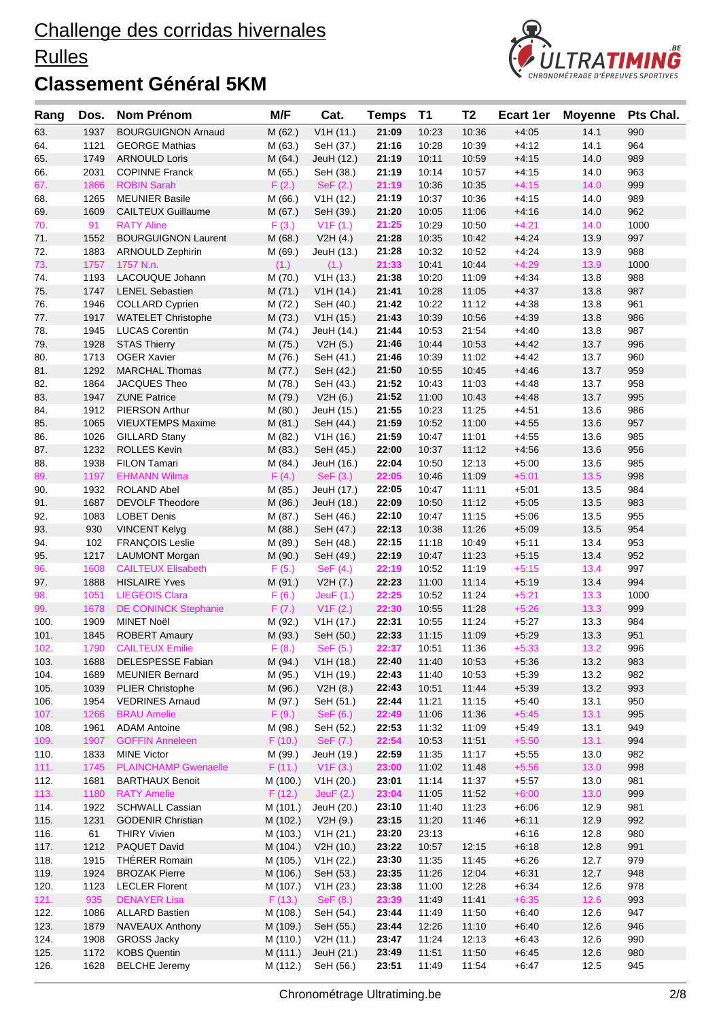#### **Rulles**



| Rang         | Dos.         | <b>Nom Prénom</b>                                 | M/F                  | Cat.                    | <b>Temps</b>   | T <sub>1</sub> | T <sub>2</sub> | <b>Ecart 1er</b>   | <b>Movenne</b> | Pts Chal.   |
|--------------|--------------|---------------------------------------------------|----------------------|-------------------------|----------------|----------------|----------------|--------------------|----------------|-------------|
| 63.          | 1937         | <b>BOURGUIGNON Arnaud</b>                         | M(62.)               | V1H(11.)                | 21:09          | 10:23          | 10:36          | $+4:05$            | 14.1           | 990         |
| 64.          | 1121         | <b>GEORGE Mathias</b>                             | M(63.)               | SeH (37.)               | 21:16          | 10:28          | 10:39          | $+4:12$            | 14.1           | 964         |
| 65.          | 1749         | <b>ARNOULD Loris</b>                              | M(64.)               | JeuH (12.)              | 21:19          | 10:11          | 10:59          | $+4:15$            | 14.0           | 989         |
| 66.          | 2031         | <b>COPINNE Franck</b>                             | M (65.)              | SeH (38.)               | 21:19          | 10:14          | 10:57          | $+4:15$            | 14.0           | 963         |
| 67.          | 1866         | <b>ROBIN Sarah</b>                                | F(2.)                | SeF (2.)                | 21:19          | 10:36          | 10:35          | $+4:15$            | 14.0           | 999         |
| 68.          | 1265         | <b>MEUNIER Basile</b>                             | M(66.)               | V1H (12.)               | 21:19          | 10:37          | 10:36          | $+4:15$            | 14.0           | 989         |
| 69.          | 1609         | <b>CAILTEUX Guillaume</b>                         | M(67.)               | SeH (39.)               | 21:20          | 10:05          | 11:06          | $+4:16$            | 14.0           | 962         |
| 70.          | 91           | <b>RATY Aline</b>                                 | F(3.)                | V1F(1.)                 | 21:25          | 10:29          | 10:50          | $+4:21$            | 14.0           | 1000        |
| 71.          | 1552         | <b>BOURGUIGNON Laurent</b>                        | M(68.)               | V2H(4.)                 | 21:28          | 10:35          | 10:42          | $+4:24$            | 13.9           | 997         |
| 72.          | 1883         | <b>ARNOULD Zephirin</b>                           | M (69.)              | JeuH (13.)              | 21:28          | 10:32          | 10:52          | $+4:24$            | 13.9           | 988         |
| 73.<br>74.   | 1757<br>1193 | 1757 N.n.<br>LACOUQUE Johann                      | (1.)                 | (1.)<br>V1H (13.)       | 21:33<br>21:38 | 10:41<br>10:20 | 10:44<br>11:09 | $+4:29$<br>$+4:34$ | 13.9<br>13.8   | 1000<br>988 |
| 75.          | 1747         | <b>LENEL Sebastien</b>                            | M (70.)<br>M(71.)    | V1H(14.)                | 21:41          | 10:28          | 11:05          | $+4:37$            | 13.8           | 987         |
| 76.          | 1946         | <b>COLLARD Cyprien</b>                            | M (72.)              | SeH (40.)               | 21:42          | 10:22          | 11:12          | $+4:38$            | 13.8           | 961         |
| 77.          | 1917         | <b>WATELET Christophe</b>                         | M (73.)              | V1H (15.)               | 21:43          | 10:39          | 10:56          | $+4:39$            | 13.8           | 986         |
| 78.          | 1945         | <b>LUCAS Corentin</b>                             | M (74.)              | JeuH (14.)              | 21:44          | 10:53          | 21:54          | $+4:40$            | 13.8           | 987         |
| 79.          | 1928         | <b>STAS Thierry</b>                               | M (75.)              | V2H(5.)                 | 21:46          | 10:44          | 10:53          | $+4:42$            | 13.7           | 996         |
| 80.          | 1713         | <b>OGER Xavier</b>                                | M (76.)              | SeH (41.)               | 21:46          | 10:39          | 11:02          | $+4:42$            | 13.7           | 960         |
| 81.          | 1292         | <b>MARCHAL Thomas</b>                             | M(77.)               | SeH (42.)               | 21:50          | 10:55          | 10:45          | $+4:46$            | 13.7           | 959         |
| 82.          | 1864         | JACQUES Theo                                      | M (78.)              | SeH (43.)               | 21:52          | 10:43          | 11:03          | $+4:48$            | 13.7           | 958         |
| 83.          | 1947         | <b>ZUNE Patrice</b>                               | M (79.)              | V2H(6.)                 | 21:52          | 11:00          | 10:43          | $+4:48$            | 13.7           | 995         |
| 84.          | 1912         | <b>PIERSON Arthur</b>                             | M(80.)               | JeuH (15.)              | 21:55          | 10:23          | 11:25          | $+4:51$            | 13.6           | 986         |
| 85.          | 1065         | <b>VIEUXTEMPS Maxime</b>                          | M(81.)               | SeH (44.)               | 21:59          | 10:52          | 11:00          | $+4:55$            | 13.6           | 957         |
| 86.          | 1026         | <b>GILLARD Stany</b>                              | M (82.)              | V1H (16.)               | 21:59          | 10:47          | 11:01          | $+4:55$            | 13.6           | 985         |
| 87.          | 1232         | <b>ROLLES Kevin</b>                               | M(83.)               | SeH (45.)               | 22:00          | 10:37          | 11:12          | $+4:56$            | 13.6           | 956         |
| 88.          | 1938         | <b>FILON Tamari</b>                               | M (84.)              | JeuH (16.)              | 22:04          | 10:50          | 12:13          | $+5:00$            | 13.6           | 985         |
| 89.          | 1197         | <b>EHMANN Wilma</b>                               | F(4.)                | SeF (3.)                | 22:05          | 10:46          | 11:09          | $+5:01$            | 13.5           | 998         |
| 90.          | 1932<br>1687 | <b>ROLAND Abel</b>                                | M(85.)               | JeuH (17.)              | 22:05          | 10:47          | 11:11<br>11:12 | $+5:01$            | 13.5           | 984         |
| 91.<br>92.   | 1083         | <b>DEVOLF Theodore</b><br><b>LOBET Denis</b>      | M(86.)<br>M (87.)    | JeuH (18.)<br>SeH (46.) | 22:09<br>22:10 | 10:50<br>10:47 | 11:15          | $+5:05$<br>$+5:06$ | 13.5<br>13.5   | 983<br>955  |
| 93.          | 930          | <b>VINCENT Kelyg</b>                              | M (88.)              | SeH (47.)               | 22:13          | 10:38          | 11:26          | $+5:09$            | 13.5           | 954         |
| 94.          | 102          | <b>FRANÇOIS Leslie</b>                            | M (89.)              | SeH (48.)               | 22:15          | 11:18          | 10:49          | $+5:11$            | 13.4           | 953         |
| 95.          | 1217         | <b>LAUMONT Morgan</b>                             | M (90.)              | SeH (49.)               | 22:19          | 10:47          | 11:23          | $+5:15$            | 13.4           | 952         |
| 96.          | 1608         | <b>CAILTEUX Elisabeth</b>                         | F(5.)                | $\text{SeF}(4.)$        | 22:19          | 10:52          | 11:19          | $+5:15$            | 13.4           | 997         |
| 97.          | 1888         | <b>HISLAIRE Yves</b>                              | M (91.)              | V2H (7.)                | 22:23          | 11:00          | 11:14          | $+5:19$            | 13.4           | 994         |
| 98.          | 1051         | <b>LIEGEOIS Clara</b>                             | F(6.)                | JeuF(1.)                | 22:25          | 10:52          | 11:24          | $+5:21$            | 13.3           | 1000        |
| 99.          | 1678         | <b>DE CONINCK Stephanie</b>                       | F(7.)                | V1F(2.)                 | 22:30          | 10:55          | 11:28          | $+5:26$            | 13.3           | 999         |
| 100.         | 1909         | <b>MINET Noël</b>                                 | M (92.)              | V1H (17.)               | 22:31          | 10:55          | 11:24          | $+5:27$            | 13.3           | 984         |
| 101.         | 1845         | <b>ROBERT Amaury</b>                              | M (93.)              | SeH (50.)               | 22:33          | 11:15          | 11:09          | $+5:29$            | 13.3           | 951         |
| 102.         |              | 1790 CAILTEUX Emilie                              | F(8.)                | SeF (5.)                | 22:37          | 10:51          | 11:36          | $+5:33$            | $13.2$         | 996         |
| 103.         | 1688         | DELESPESSE Fabian                                 | M (94.)              | V1H(18.)                | 22:40          | 11:40          | 10:53          | $+5:36$            | 13.2           | 983         |
| 104.         | 1689         | <b>MEUNIER Bernard</b>                            | M (95.)              | V1H(19.)                | 22:43          | 11:40          | 10:53          | $+5:39$            | 13.2           | 982         |
| 105.         | 1039         | <b>PLIER Christophe</b><br><b>VEDRINES Arnaud</b> | M (96.)              | V2H(8.)                 | 22:43          | 10:51          | 11:44          | $+5:39$            | 13.2           | 993         |
| 106.<br>107. | 1954<br>1266 | <b>BRAU Amelie</b>                                | M (97.)<br>F(9.)     | SeH (51.)<br>SeF(6.)    | 22:44<br>22:49 | 11:21<br>11:06 | 11:15<br>11:36 | $+5:40$<br>$+5:45$ | 13.1<br>13.1   | 950<br>995  |
| 108.         | 1961         | <b>ADAM Antoine</b>                               | M (98.)              | SeH (52.)               | 22:53          | 11:32          | 11:09          | $+5:49$            | 13.1           | 949         |
| 109.         | 1907         | <b>GOFFIN Anneleen</b>                            | F(10.)               | SeF (7.)                | 22:54          | 10:53          | 11:51          | $+5:50$            | 13.1           | 994         |
| 110.         | 1833         | <b>MINE Victor</b>                                | M (99.)              | JeuH (19.)              | 22:59          | 11:35          | 11:17          | $+5:55$            | 13.0           | 982         |
| 111.         | 1745         | <b>PLAINCHAMP Gwenaelle</b>                       | F(11.)               | V1F(3.)                 | 23:00          | 11:02          | 11:48          | $+5:56$            | 13.0           | 998         |
| 112.         | 1681         | <b>BARTHAUX Benoit</b>                            | M (100.)             | V1H (20.)               | 23:01          | 11:14          | 11:37          | $+5:57$            | 13.0           | 981         |
| 113.         | 1180         | <b>RATY Amelie</b>                                | F(12.)               | JeuF $(2.)$             | 23:04          | 11:05          | 11:52          | $+6:00$            | 13.0           | 999         |
| 114.         | 1922         | <b>SCHWALL Cassian</b>                            | M (101.)             | JeuH (20.)              | 23:10          | 11:40          | 11:23          | $+6:06$            | 12.9           | 981         |
| 115.         | 1231         | <b>GODENIR Christian</b>                          | M (102.)             | V2H(9.)                 | 23:15          | 11:20          | 11:46          | $+6:11$            | 12.9           | 992         |
| 116.         | 61           | <b>THIRY Vivien</b>                               | M (103.)             | V1H (21.)               | 23:20          | 23:13          |                | $+6:16$            | 12.8           | 980         |
| 117.         | 1212         | PAQUET David                                      | M (104.)             | V2H (10.)               | 23:22          | 10:57          | 12:15          | $+6:18$            | 12.8           | 991         |
| 118.         | 1915         | THÉRER Romain                                     | M (105.)             | V1H (22.)               | 23:30          | 11:35          | 11:45          | $+6:26$            | 12.7           | 979         |
| 119.         | 1924         | <b>BROZAK Pierre</b>                              | M (106.)             | SeH (53.)               | 23:35          | 11:26          | 12:04          | $+6:31$            | 12.7           | 948         |
| 120.         | 1123         | <b>LECLER Florent</b>                             | M (107.)             | V1H (23.)               | 23:38          | 11:00          | 12:28          | $+6:34$            | 12.6           | 978         |
| 121.         | 935          | <b>DENAYER Lisa</b>                               | F(13.)               | SeF(8.)                 | 23:39          | 11:49          | 11:41          | $+6:35$            | 12.6           | 993         |
| 122.         | 1086         | <b>ALLARD Bastien</b>                             | M (108.)             | SeH (54.)               | 23:44          | 11:49          | 11:50          | $+6:40$            | 12.6           | 947         |
| 123.<br>124. | 1879<br>1908 | <b>NAVEAUX Anthony</b><br><b>GROSS Jacky</b>      | M (109.)<br>M (110.) | SeH (55.)<br>V2H (11.)  | 23:44<br>23:47 | 12:26<br>11:24 | 11:10<br>12:13 | $+6:40$<br>$+6:43$ | 12.6<br>12.6   | 946<br>990  |
| 125.         | 1172         | <b>KOBS Quentin</b>                               | M (111.)             | JeuH (21.)              | 23:49          | 11:51          | 11:50          | $+6:45$            | 12.6           | 980         |
| 126.         | 1628         | <b>BELCHE Jeremy</b>                              | M (112.)             | SeH (56.)               | 23:51          | 11:49          | 11:54          | $+6:47$            | 12.5           | 945         |
|              |              |                                                   |                      |                         |                |                |                |                    |                |             |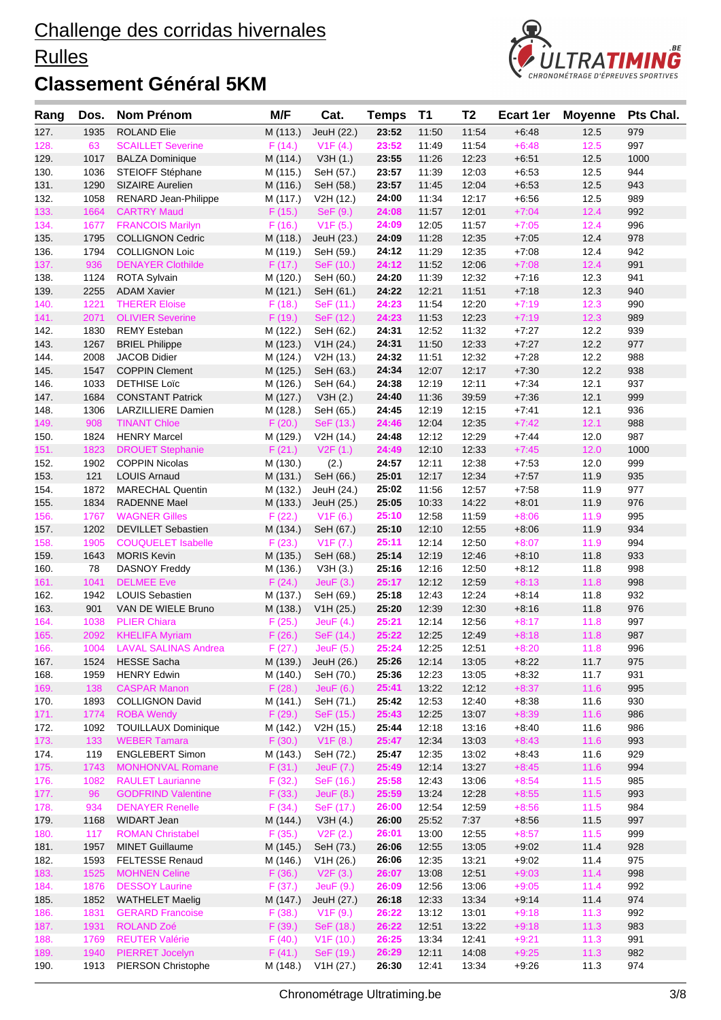#### **Rulles**



| Rang         | Dos.         | Nom Prénom                                   | M/F                  | Cat.                     | <b>Temps</b>   | <b>T1</b>      | T <sub>2</sub> | <b>Ecart 1er</b>   | <b>Moyenne</b> | Pts Chal.  |
|--------------|--------------|----------------------------------------------|----------------------|--------------------------|----------------|----------------|----------------|--------------------|----------------|------------|
| 127.         | 1935         | <b>ROLAND Elie</b>                           | M (113.)             | JeuH (22.)               | 23:52          | 11:50          | 11:54          | $+6:48$            | 12.5           | 979        |
| 128.         | 63           | <b>SCAILLET Severine</b>                     | F(14.)               | V1F(4.)                  | 23:52          | 11:49          | 11:54          | $+6:48$            | $12.5$         | 997        |
| 129.         | 1017         | <b>BALZA Dominique</b>                       | M (114.)             | V3H(1.)                  | 23:55          | 11:26          | 12:23          | $+6.51$            | 12.5           | 1000       |
| 130.         | 1036         | STEIOFF Stéphane                             | M (115.)             | SeH (57.)                | 23:57          | 11:39          | 12:03          | $+6:53$            | 12.5           | 944        |
| 131.         | 1290         | SIZAIRE Aurelien                             | M (116.)             | SeH (58.)                | 23:57          | 11:45          | 12:04          | $+6:53$            | 12.5           | 943        |
| 132.         | 1058         | RENARD Jean-Philippe                         | M (117.)             | V2H (12.)                | 24:00          | 11:34          | 12:17          | $+6.56$            | 12.5           | 989        |
| 133.         | 1664         | <b>CARTRY Maud</b>                           | F(15.)               | SeF (9.)                 | 24:08          | 11:57          | 12:01          | $+7:04$            | 12.4           | 992        |
| 134.         | 1677         | <b>FRANCOIS Marilyn</b>                      | F(16.)               | V1F(5.)                  | 24:09          | 12:05          | 11:57          | $+7:05$            | 12.4           | 996        |
| 135.         | 1795         | <b>COLLIGNON Cedric</b>                      | M (118.)             | JeuH (23.)               | 24:09          | 11:28          | 12:35          | $+7:05$            | 12.4           | 978        |
| 136.         | 1794         | <b>COLLIGNON Loic</b>                        | M (119.)             | SeH (59.)                | 24:12          | 11:29          | 12:35          | $+7:08$            | 12.4           | 942        |
| 137.         | 936          | <b>DENAYER Clothilde</b>                     | F(17.)               | SeF (10.)                | 24:12          | 11:52          | 12:06          | $+7:08$            | 12.4           | 991        |
| 138.         | 1124         | <b>ROTA Sylvain</b>                          | M (120.)             | SeH (60.)                | 24:20          | 11:39          | 12:32          | $+7:16$            | 12.3           | 941        |
| 139.         | 2255         | <b>ADAM Xavier</b>                           | M (121.)             | SeH (61.)                | 24:22          | 12:21          | 11:51          | $+7:18$            | 12.3           | 940        |
| 140.         | 1221         | <b>THERER Eloise</b>                         | F(18.)               | SeF (11.)                | 24:23          | 11:54          | 12:20          | $+7:19$            | 12.3           | 990        |
| 141.         | 2071         | <b>OLIVIER Severine</b>                      | F(19.)               | SeF (12.)                | 24:23          | 11:53          | 12:23          | $+7:19$            | 12.3           | 989        |
| 142.<br>143. | 1830         | <b>REMY Esteban</b>                          | M (122.)<br>M (123.) | SeH (62.)                | 24:31<br>24:31 | 12:52<br>11:50 | 11:32<br>12:33 | $+7:27$<br>$+7:27$ | 12.2<br>12.2   | 939<br>977 |
| 144.         | 1267<br>2008 | <b>BRIEL Philippe</b><br><b>JACOB Didier</b> | M (124.)             | V1H (24.)<br>V2H (13.)   | 24:32          | 11:51          | 12:32          | $+7:28$            | 12.2           | 988        |
| 145.         | 1547         | <b>COPPIN Clement</b>                        | M (125.)             | SeH (63.)                | 24:34          | 12:07          | 12:17          | $+7:30$            | 12.2           | 938        |
| 146.         | 1033         | <b>DETHISE Loïc</b>                          | M (126.)             | SeH (64.)                | 24:38          | 12:19          | 12:11          | $+7:34$            | 12.1           | 937        |
| 147.         | 1684         | <b>CONSTANT Patrick</b>                      | M (127.)             | V3H(2.)                  | 24:40          | 11:36          | 39:59          | $+7:36$            | 12.1           | 999        |
| 148.         | 1306         | <b>LARZILLIERE Damien</b>                    | M (128.)             | SeH (65.)                | 24:45          | 12:19          | 12:15          | $+7:41$            | 12.1           | 936        |
| 149.         | 908          | <b>TINANT Chloe</b>                          | F(20.)               | SeF (13.)                | 24:46          | 12:04          | 12:35          | $+7:42$            | 12.1           | 988        |
| 150.         | 1824         | <b>HENRY Marcel</b>                          | M (129.)             | V2H (14.)                | 24:48          | 12:12          | 12:29          | $+7:44$            | 12.0           | 987        |
| 151.         | 1823         | <b>DROUET Stephanie</b>                      | F(21.)               | V2F(1.)                  | 24:49          | 12:10          | 12:33          | $+7:45$            | 12.0           | 1000       |
| 152.         | 1902         | <b>COPPIN Nicolas</b>                        | M (130.)             | (2.)                     | 24:57          | 12:11          | 12:38          | $+7:53$            | 12.0           | 999        |
| 153.         | 121          | <b>LOUIS Arnaud</b>                          | M (131.)             | SeH (66.)                | 25:01          | 12:17          | 12:34          | $+7:57$            | 11.9           | 935        |
| 154.         | 1872         | <b>MARECHAL Quentin</b>                      | M (132.)             | JeuH (24.)               | 25:02          | 11:56          | 12:57          | $+7:58$            | 11.9           | 977        |
| 155.         | 1834         | <b>RADENNE Mael</b>                          | M (133.)             | JeuH (25.)               | 25:05          | 10:33          | 14:22          | $+8:01$            | 11.9           | 976        |
| 156.         | 1767         | <b>WAGNER Gilles</b>                         | F(22.)               | V1F(6.)                  | 25:10          | 12:58          | 11:59          | $+8:06$            | 11.9           | 995        |
| 157.         | 1202         | <b>DEVILLET Sebastien</b>                    | M (134.)             | SeH (67.)                | 25:10          | 12:10          | 12:55          | $+8:06$            | 11.9           | 934        |
| 158.         | 1905         | <b>COUQUELET Isabelle</b>                    | F(23.)               | V1F (7.)                 | 25:11          | 12:14          | 12:50          | $+8:07$            | 11.9           | 994        |
| 159.         | 1643         | <b>MORIS Kevin</b>                           | M (135.)             | SeH (68.)                | 25:14          | 12:19          | 12:46          | $+8:10$            | 11.8           | 933        |
| 160.         | 78           | <b>DASNOY Freddy</b>                         | M (136.)             | V3H(3.)                  | 25:16          | 12:16          | 12:50          | $+8:12$            | 11.8           | 998        |
| 161.         | 1041         | <b>DELMEE</b> Eve                            | F(24.)               | Jeu $F(3.)$              | 25:17          | 12:12          | 12:59          | $+8:13$            | 11.8           | 998        |
| 162.         | 1942         | LOUIS Sebastien                              | M (137.)             | SeH (69.)                | 25:18          | 12:43          | 12:24          | $+8:14$            | 11.8           | 932        |
| 163.         | 901          | VAN DE WIELE Bruno                           | M (138.)             | V1H (25.)                | 25:20          | 12:39          | 12:30          | $+8:16$            | 11.8           | 976        |
| 164.         | 1038         | <b>PLIER Chiara</b>                          | F(25.)               | Jeu $F(4)$               | 25:21          | 12:14          | 12:56          | $+8:17$            | 11.8           | 997        |
| 165.         | 2092         | <b>KHELIFA Myriam</b>                        | F(26.)               | SeF (14.)                | 25:22          | 12:25          | 12:49          | $+8:18$            | 11.8           | 987        |
| 166.         |              | 1004 LAVAL SALINAS Andrea                    | F(27.)               | JeuF (5.)                | 25:24          | 12:25          | 12:51          | $+8:20$            | 11.8           | 996        |
| 167.         | 1524<br>1959 | <b>HESSE Sacha</b><br><b>HENRY Edwin</b>     | M (139.)<br>M (140.) | JeuH (26.)               | 25:26<br>25:36 | 12:14<br>12:23 | 13:05          | $+8:22$            | 11.7<br>11.7   | 975<br>931 |
| 168.<br>169. | 138          | <b>CASPAR Manon</b>                          | F(28.)               | SeH (70.)<br>Jeu $F(6.)$ | 25:41          | 13:22          | 13:05<br>12:12 | $+8:32$<br>$+8:37$ | 11.6           | 995        |
| 170.         | 1893         | <b>COLLIGNON David</b>                       | M (141.)             | SeH (71.)                | 25:42          | 12:53          | 12:40          | $+8:38$            | 11.6           | 930        |
| 171.         | 1774         | <b>ROBA Wendy</b>                            | F(29.)               | SeF (15.)                | 25:43          | 12:25          | 13:07          | $+8:39$            | 11.6           | 986        |
| 172.         | 1092         | <b>TOUILLAUX Dominique</b>                   | M (142.)             | V2H (15.)                | 25:44          | 12:18          | 13:16          | $+8:40$            | 11.6           | 986        |
| 173.         | 133          | <b>WEBER Tamara</b>                          | F(30.)               | V1F(8.)                  | 25:47          | 12:34          | 13:03          | $+8:43$            | 11.6           | 993        |
| 174.         | 119          | <b>ENGLEBERT Simon</b>                       | M (143.)             | SeH (72.)                | 25:47          | 12:35          | 13:02          | $+8:43$            | 11.6           | 929        |
| 175.         | 1743         | <b>MONHONVAL Romane</b>                      | F(31.)               | <b>JeuF</b> (7.)         | 25:49          | 12:14          | 13:27          | $+8:45$            | 11.6           | 994        |
| 176.         | 1082         | <b>RAULET Laurianne</b>                      | F(32.)               | SeF (16.)                | 25:58          | 12:43          | 13:06          | $+8:54$            | 11.5           | 985        |
| 177.         | 96           | <b>GODFRIND Valentine</b>                    | F(33.)               | Jeu $F(8.)$              | 25:59          | 13:24          | 12:28          | $+8:55$            | 11.5           | 993        |
| 178.         | 934          | <b>DENAYER Renelle</b>                       | F(34.)               | SeF (17.)                | 26:00          | 12:54          | 12:59          | $+8:56$            | 11.5           | 984        |
| 179.         | 1168         | WIDART Jean                                  | M (144.)             | V3H(4.)                  | 26:00          | 25:52          | 7:37           | $+8.56$            | 11.5           | 997        |
| 180.         | 117          | <b>ROMAN Christabel</b>                      | F(35.)               | V2F(2.)                  | 26:01          | 13:00          | 12:55          | $+8:57$            | 11.5           | 999        |
| 181.         | 1957         | <b>MINET Guillaume</b>                       | M (145.)             | SeH (73.)                | 26:06          | 12:55          | 13:05          | $+9:02$            | 11.4           | 928        |
| 182.         | 1593         | <b>FELTESSE Renaud</b>                       | M (146.)             | V1H (26.)                | 26:06          | 12:35          | 13:21          | $+9:02$            | 11.4           | 975        |
| 183.         | 1525         | <b>MOHNEN Celine</b>                         | F(36.)               | V2F(3.)                  | 26:07          | 13:08          | 12:51          | $+9:03$            | 11.4           | 998        |
| 184.         | 1876         | <b>DESSOY Laurine</b>                        | F(37.)               | JeuF (9.)                | 26:09          | 12:56          | 13:06          | $+9:05$            | 11.4           | 992        |
| 185.         | 1852         | <b>WATHELET Maelig</b>                       | M (147.)             | JeuH (27.)               | 26:18          | 12:33          | 13:34          | $+9:14$            | 11.4           | 974        |
| 186.         | 1831         | <b>GERARD Francoise</b>                      | F(38.)               | V1F(9.)                  | 26:22          | 13:12          | 13:01          | $+9:18$            | 11.3           | 992        |
| 187.         | 1931         | <b>ROLAND Zoé</b>                            | F(39.)               | SeF (18.)                | 26:22          | 12:51          | 13:22          | $+9:18$            | 11.3           | 983        |
| 188.         | 1769         | <b>REUTER Valérie</b>                        | F(40.)               | V1F(10.)                 | 26:25          | 13:34          | 12:41          | $+9:21$            | 11.3           | 991        |
| 189.         | 1940         | <b>PIERRET Jocelyn</b>                       | F(41.)               | SeF (19.)                | 26:29          | 12:11          | 14:08          | $+9:25$            | 11.3           | 982        |
| 190.         | 1913         | PIERSON Christophe                           | M (148.)             | V1H (27.)                | 26:30          | 12:41          | 13:34          | $+9.26$            | 11.3           | 974        |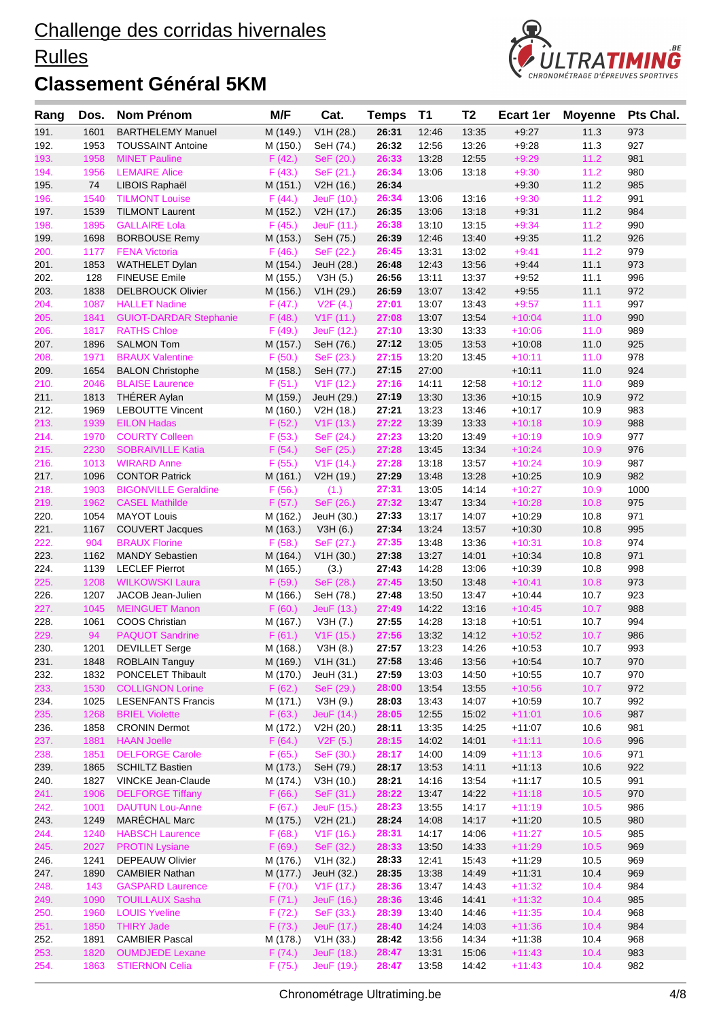#### **Rulles**



| Rang         | Dos.         | Nom Prénom                                            | M/F                | Cat.                   | <b>Temps</b>   | <b>T1</b>      | T <sub>2</sub> | <b>Ecart 1er</b>     | <b>Moyenne</b> | Pts Chal.  |
|--------------|--------------|-------------------------------------------------------|--------------------|------------------------|----------------|----------------|----------------|----------------------|----------------|------------|
| 191.         | 1601         | <b>BARTHELEMY Manuel</b>                              | M (149.)           | V1H (28.)              | 26:31          | 12:46          | 13:35          | $+9:27$              | 11.3           | 973        |
| 192.         | 1953         | <b>TOUSSAINT Antoine</b>                              | M (150.)           | SeH (74.)              | 26:32          | 12:56          | 13:26          | $+9:28$              | 11.3           | 927        |
| 193.         | 1958         | <b>MINET Pauline</b>                                  | F(42.)             | SeF (20.)              | 26:33          | 13:28          | 12:55          | $+9:29$              | 11.2           | 981        |
| 194.         | 1956         | <b>LEMAIRE Alice</b>                                  | F(43.)             | SeF (21.)              | 26:34          | 13:06          | 13:18          | $+9:30$              | 11.2           | 980        |
| 195.         | 74           | LIBOIS Raphaël                                        | M (151.)           | V2H (16.)              | 26:34          |                |                | $+9:30$              | 11.2           | 985        |
| 196.         | 1540         | <b>TILMONT Louise</b>                                 | F(44.)             | JeuF (10.)             | 26:34          | 13:06          | 13:16          | $+9:30$              | 11.2           | 991        |
| 197.         | 1539         | <b>TILMONT Laurent</b>                                | M (152.)           | V2H (17.)              | 26:35          | 13:06          | 13:18          | $+9.31$              | 11.2           | 984        |
| 198.         | 1895         | <b>GALLAIRE Lola</b>                                  | F(45.)             | JeuF (11.)             | 26:38          | 13:10          | 13:15          | $+9:34$              | 11.2           | 990        |
| 199.         | 1698         | <b>BORBOUSE Remy</b>                                  | M (153.)           | SeH (75.)              | 26:39          | 12:46          | 13:40          | $+9.35$              | 11.2           | 926        |
| 200.         | 1177         | <b>FENA Victoria</b>                                  | F(46.)             | SeF (22.)              | 26:45          | 13:31          | 13:02          | $+9:41$              | 11.2           | 979        |
| 201.         | 1853         | <b>WATHELET Dylan</b>                                 | M (154.)           | JeuH (28.)             | 26:48          | 12:43          | 13:56          | $+9.44$              | 11.1           | 973        |
| 202.         | 128          | <b>FINEUSE Emile</b>                                  | M (155.)           | V3H (5.)               | 26:56          | 13:11          | 13:37          | $+9:52$              | 11.1           | 996        |
| 203.         | 1838         | <b>DELBROUCK Olivier</b>                              | M (156.)           | V1H (29.)              | 26:59          | 13:07          | 13:42          | $+9.55$              | 11.1           | 972<br>997 |
| 204.         | 1087<br>1841 | <b>HALLET Nadine</b><br><b>GUIOT-DARDAR Stephanie</b> | F(47.)             | V2F(4.)                | 27:01          | 13:07<br>13:07 | 13:43<br>13:54 | $+9:57$<br>$+10:04$  | 11.1<br>$11.0$ | 990        |
| 205.<br>206. | 1817         | <b>RATHS Chloe</b>                                    | F(48.)<br>F(49.)   | V1F(11.)<br>JeuF (12.) | 27:08<br>27:10 | 13:30          | 13:33          | $+10:06$             | 11.0           | 989        |
| 207.         | 1896         | <b>SALMON Tom</b>                                     | M (157.)           | SeH (76.)              | 27:12          | 13:05          | 13:53          | $+10.08$             | 11.0           | 925        |
| 208.         | 1971         | <b>BRAUX Valentine</b>                                | F(50.)             | SeF (23.)              | 27:15          | 13:20          | 13:45          | $+10:11$             | 11.0           | 978        |
| 209.         | 1654         | <b>BALON Christophe</b>                               | M (158.)           | SeH (77.)              | 27:15          | 27:00          |                | $+10:11$             | 11.0           | 924        |
| 210.         | 2046         | <b>BLAISE Laurence</b>                                | F(51.)             | V1F(12.)               | 27:16          | 14:11          | 12:58          | $+10:12$             | 11.0           | 989        |
| 211.         | 1813         | THÉRER Aylan                                          | M (159.)           | JeuH (29.)             | 27:19          | 13:30          | 13:36          | $+10.15$             | 10.9           | 972        |
| 212.         | 1969         | <b>LEBOUTTE Vincent</b>                               | M (160.)           | V2H (18.)              | 27:21          | 13:23          | 13:46          | $+10:17$             | 10.9           | 983        |
| 213.         | 1939         | <b>EILON Hadas</b>                                    | F(52.)             | V1F(13.)               | 27:22          | 13:39          | 13:33          | $+10:18$             | 10.9           | 988        |
| 214.         | 1970         | <b>COURTY Colleen</b>                                 | F(53.)             | SeF (24.)              | 27:23          | 13:20          | 13:49          | $+10:19$             | 10.9           | 977        |
| 215.         | 2230         | <b>SOBRAIVILLE Katia</b>                              | F(54.)             | SeF (25.)              | 27:28          | 13:45          | 13:34          | $+10:24$             | 10.9           | 976        |
| 216.         | 1013         | <b>WIRARD Anne</b>                                    | F(55.)             | V1F(14.)               | 27:28          | 13:18          | 13:57          | $+10:24$             | 10.9           | 987        |
| 217.         | 1096         | <b>CONTOR Patrick</b>                                 | M (161.)           | V2H (19.)              | 27:29          | 13:48          | 13:28          | $+10.25$             | 10.9           | 982        |
| 218.         | 1903         | <b>BIGONVILLE Geraldine</b>                           | F(56.)             | (1.)                   | 27:31          | 13:05          | 14:14          | $+10:27$             | 10.9           | 1000       |
| 219.         | 1962         | <b>CASEL Mathilde</b>                                 | F(57.)             | SeF (26.)              | 27:32          | 13:47          | 13:34          | $+10:28$             | 10.8           | 975        |
| 220.         | 1054         | <b>MAYOT Louis</b>                                    | M (162.)           | JeuH (30.)             | 27:33          | 13:17          | 14:07          | $+10:29$             | 10.8           | 971        |
| 221.         | 1167         | <b>COUVERT Jacques</b>                                | M (163.)           | V3H(6.)                | 27:34          | 13:24          | 13:57          | $+10:30$             | 10.8           | 995        |
| 222.         | 904          | <b>BRAUX Florine</b>                                  | F(58.)             | SeF (27.)              | 27:35          | 13:48          | 13:36          | $+10:31$             | 10.8           | 974        |
| 223.         | 1162         | <b>MANDY Sebastien</b>                                | M (164.)           | V1H (30.)              | 27:38          | 13:27          | 14:01          | $+10:34$             | 10.8           | 971        |
| 224.         | 1139         | <b>LECLEF Pierrot</b>                                 | M (165.)           | (3.)                   | 27:43          | 14:28          | 13:06          | $+10.39$             | 10.8           | 998        |
| 225.         | 1208         | <b>WILKOWSKI Laura</b>                                | F(59.)             | SeF (28.)              | 27:45          | 13:50          | 13:48          | $+10:41$             | 10.8           | 973        |
| 226.         | 1207         | JACOB Jean-Julien                                     | M (166.)           | SeH (78.)              | 27:48          | 13:50          | 13:47          | $+10:44$             | 10.7           | 923        |
| 227.         | 1045         | <b>MEINGUET Manon</b>                                 | F(60.)             | JeuF (13.)             | 27:49          | 14:22          | 13:16          | $+10:45$             | 10.7           | 988        |
| 228.<br>229. | 1061<br>94   | <b>COOS Christian</b><br><b>PAQUOT Sandrine</b>       | M (167.)<br>F(61.) | V3H (7.)<br>V1F(15.)   | 27:55<br>27:56 | 14:28<br>13:32 | 13:18<br>14:12 | $+10:51$<br>$+10:52$ | 10.7<br>10.7   | 994<br>986 |
| 230.         | 1201         | <b>DEVILLET</b> Serge                                 | M (168.)           | V3H (8.)               | 27:57          | 13:23          | 14:26          | $+10:53$             | 10.7           | 993        |
| 231.         | 1848         | <b>ROBLAIN Tanguy</b>                                 | M (169.)           | V1H (31.)              | 27:58          | 13:46          | 13:56          | $+10.54$             | 10.7           | 970        |
| 232.         | 1832         | PONCELET Thibault                                     | M (170.)           | JeuH (31.)             | 27:59          | 13:03          | 14:50          | $+10:55$             | 10.7           | 970        |
| 233.         | 1530         | <b>COLLIGNON Lorine</b>                               | F(62.)             | SeF (29.)              | 28:00          | 13:54          | 13:55          | $+10:56$             | 10.7           | 972        |
| 234.         | 1025         | <b>LESENFANTS Francis</b>                             | M (171.)           | V3H (9.)               | 28:03          | 13:43          | 14:07          | $+10:59$             | 10.7           | 992        |
| 235.         | 1268         | <b>BRIEL Violette</b>                                 | F(63.)             | JeuF (14.)             | 28:05          | 12:55          | 15:02          | $+11:01$             | 10.6           | 987        |
| 236.         | 1858         | <b>CRONIN Dermot</b>                                  | M (172.)           | V2H (20.)              | 28:11          | 13:35          | 14:25          | $+11:07$             | 10.6           | 981        |
| 237.         | 1881         | <b>HAAN Joelle</b>                                    | F(64.)             | V2F(5.)                | 28:15          | 14:02          | 14:01          | $+11:11$             | 10.6           | 996        |
| 238.         | 1851         | <b>DELFORGE Carole</b>                                | F(65.)             | SeF (30.)              | 28:17          | 14:00          | 14:09          | $+11:13$             | 10.6           | 971        |
| 239.         | 1865         | <b>SCHILTZ Bastien</b>                                | M (173.)           | SeH (79.)              | 28:17          | 13:53          | 14:11          | $+11:13$             | 10.6           | 922        |
| 240.         | 1827         | <b>VINCKE Jean-Claude</b>                             | M (174.)           | V3H (10.)              | 28:21          | 14:16          | 13:54          | $+11:17$             | 10.5           | 991        |
| 241.         | 1906         | <b>DELFORGE Tiffany</b>                               | F(66.)             | SeF (31.)              | 28:22          | 13:47          | 14:22          | $+11:18$             | 10.5           | 970        |
| 242.         | 1001         | <b>DAUTUN Lou-Anne</b>                                | F(67.)             | JeuF (15.)             | 28:23          | 13:55          | 14:17          | $+11:19$             | 10.5           | 986        |
| 243.         | 1249         | <b>MARÉCHAL Marc</b>                                  | M (175.)           | V2H (21.)              | 28:24          | 14:08          | 14:17          | $+11:20$             | 10.5           | 980        |
| 244.         | 1240         | <b>HABSCH Laurence</b>                                | F(68.)             | V1F(16.)               | 28:31          | 14:17          | 14:06          | $+11:27$             | 10.5           | 985        |
| 245.         | 2027         | <b>PROTIN Lysiane</b>                                 | F(69.)             | SeF (32.)              | 28:33          | 13:50          | 14:33          | $+11:29$             | 10.5           | 969        |
| 246.         | 1241         | <b>DEPEAUW Olivier</b>                                | M (176.)           | V1H (32.)              | 28:33          | 12:41          | 15:43          | $+11:29$             | 10.5           | 969        |
| 247.         | 1890         | <b>CAMBIER Nathan</b>                                 | M (177.)           | JeuH (32.)             | 28:35          | 13:38          | 14:49          | $+11:31$             | 10.4           | 969        |
| 248.         | 143          | <b>GASPARD Laurence</b>                               | F(70.)             | V <sub>1</sub> F (17.) | 28:36          | 13:47          | 14:43          | $+11:32$             | 10.4           | 984        |
| 249.         | 1090         | <b>TOUILLAUX Sasha</b>                                | F(71.)             | JeuF (16.)             | 28:36          | 13:46          | 14:41          | $+11:32$             | 10.4           | 985        |
| 250.         | 1960         | <b>LOUIS Yveline</b>                                  | F (72.)            | SeF (33.)              | 28:39          | 13:40          | 14:46          | $+11:35$             | 10.4           | 968        |
| 251.         | 1850         | <b>THIRY Jade</b>                                     | F(73.)             | JeuF (17.)             | 28:40          | 14:24          | 14:03          | $+11:36$             | 10.4           | 984        |
| 252.         | 1891         | <b>CAMBIER Pascal</b>                                 | M (178.)           | V1H (33.)              | 28:42          | 13:56          | 14:34          | $+11:38$             | 10.4           | 968        |
| 253.         | 1820<br>1863 | <b>OUMDJEDE Lexane</b><br><b>STIERNON Celia</b>       | F(74.)             | JeuF (18.)             | 28:47<br>28:47 | 13:31          | 15:06<br>14:42 | $+11:43$             | 10.4           | 983<br>982 |
| 254.         |              |                                                       | F(75.)             | JeuF (19.)             |                | 13:58          |                | $+11:43$             | 10.4           |            |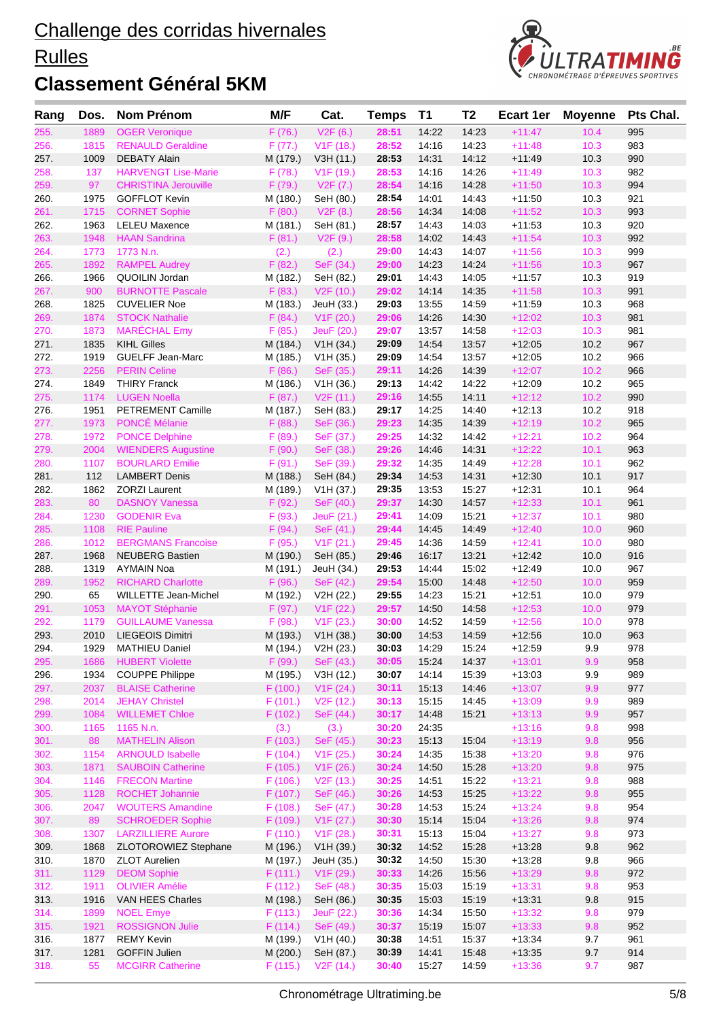#### **Rulles**



| Rang         | Dos.         | <b>Nom Prénom</b>                        | M/F                | Cat.                    | <b>Temps</b>   | <b>T1</b>      | T <sub>2</sub> | <b>Ecart 1er</b>     | <b>Moyenne</b> | Pts Chal.  |
|--------------|--------------|------------------------------------------|--------------------|-------------------------|----------------|----------------|----------------|----------------------|----------------|------------|
| 255.         | 1889         | <b>OGER Veronique</b>                    | F(76.)             | V2F(6.)                 | 28:51          | 14:22          | 14:23          | $+11:47$             | 10.4           | 995        |
| 256.         | 1815         | <b>RENAULD Geraldine</b>                 | F(77.)             | V1F(18.)                | 28:52          | 14:16          | 14:23          | $+11:48$             | 10.3           | 983        |
| 257.         | 1009         | <b>DEBATY Alain</b>                      | M (179.)           | V3H (11.)               | 28:53          | 14:31          | 14:12          | $+11:49$             | 10.3           | 990        |
| 258.         | 137          | <b>HARVENGT Lise-Marie</b>               | F(78.)             | V1F (19.)               | 28:53          | 14:16          | 14:26          | $+11:49$             | 10.3           | 982        |
| 259.         | 97           | <b>CHRISTINA Jerouville</b>              | F(79.)             | V2F(7.)                 | 28:54          | 14:16          | 14:28          | $+11:50$             | 10.3           | 994        |
| 260.         | 1975         | <b>GOFFLOT Kevin</b>                     | M (180.)           | SeH (80.)               | 28:54          | 14:01          | 14:43          | $+11:50$             | 10.3           | 921        |
| 261.         | 1715         | <b>CORNET Sophie</b>                     | F(80.)             | V2F(8.)                 | 28:56          | 14:34          | 14:08          | $+11:52$             | 10.3           | 993        |
| 262.         | 1963         | <b>LELEU Maxence</b>                     | M (181.)           | SeH (81.)               | 28:57          | 14:43          | 14:03          | $+11:53$             | 10.3           | 920        |
| 263.         | 1948         | <b>HAAN Sandrina</b>                     | F(81.)             | V2F(9.)                 | 28:58          | 14:02          | 14:43          | $+11:54$             | 10.3           | 992        |
| 264.         | 1773         | 1773 N.n.                                | (2.)               | (2.)                    | 29:00          | 14:43          | 14:07          | $+11:56$             | 10.3           | 999        |
| 265.         | 1892<br>1966 | <b>RAMPEL Audrey</b><br>QUOILIN Jordan   | F(82.)<br>M (182.) | SeF (34.)<br>SeH (82.)  | 29:00<br>29:01 | 14:23<br>14:43 | 14:24<br>14:05 | $+11:56$<br>$+11:57$ | 10.3<br>10.3   | 967<br>919 |
| 266.<br>267. | 900          | <b>BURNOTTE Pascale</b>                  | F(83.)             | V <sub>2</sub> F (10.)  | 29:02          | 14:14          | 14:35          | $+11:58$             | 10.3           | 991        |
| 268.         | 1825         | <b>CUVELIER Noe</b>                      | M (183.)           | JeuH (33.)              | 29:03          | 13:55          | 14:59          | $+11:59$             | 10.3           | 968        |
| 269.         | 1874         | <b>STOCK Nathalie</b>                    | F(84.)             | V1F(20.)                | 29:06          | 14:26          | 14:30          | $+12:02$             | 10.3           | 981        |
| 270.         | 1873         | <b>MARECHAL Emy</b>                      | F(85.)             | JeuF (20.)              | 29:07          | 13:57          | 14:58          | $+12:03$             | 10.3           | 981        |
| 271.         | 1835         | <b>KIHL Gilles</b>                       | M (184.)           | V1H (34.)               | 29:09          | 14:54          | 13:57          | $+12:05$             | 10.2           | 967        |
| 272.         | 1919         | <b>GUELFF Jean-Marc</b>                  | M (185.)           | V1H (35.)               | 29:09          | 14:54          | 13:57          | $+12:05$             | 10.2           | 966        |
| 273.         | 2256         | <b>PERIN Celine</b>                      | F(86.)             | SeF (35.)               | 29:11          | 14:26          | 14:39          | $+12:07$             | 10.2           | 966        |
| 274.         | 1849         | <b>THIRY Franck</b>                      | M (186.)           | V1H (36.)               | 29:13          | 14:42          | 14:22          | $+12:09$             | 10.2           | 965        |
| 275.         | 1174         | <b>LUGEN Noella</b>                      | F(87.)             | V2F(11.)                | 29:16          | 14:55          | 14:11          | $+12:12$             | 10.2           | 990        |
| 276.         | 1951         | PETREMENT Camille                        | M (187.)           | SeH (83.)               | 29:17          | 14:25          | 14:40          | $+12:13$             | 10.2           | 918        |
| 277.         | 1973         | PONCÉ Mélanie                            | F(88.)             | SeF (36.)               | 29:23          | 14:35          | 14:39          | $+12:19$             | 10.2           | 965        |
| 278.         | 1972         | <b>PONCE Delphine</b>                    | F(89.)             | SeF (37.)               | 29:25          | 14:32          | 14:42          | $+12:21$             | 10.2           | 964        |
| 279.         | 2004         | <b>WIENDERS Augustine</b>                | F(90.)             | SeF (38.)               | 29:26          | 14:46          | 14:31          | $+12:22$             | 10.1           | 963        |
| 280.         | 1107         | <b>BOURLARD Emilie</b>                   | F(91.)             | SeF (39.)               | 29:32          | 14:35          | 14:49          | $+12:28$             | 10.1           | 962        |
| 281.         | 112          | <b>LAMBERT Denis</b>                     | M (188.)           | SeH (84.)               | 29:34          | 14:53          | 14:31          | $+12:30$             | 10.1           | 917        |
| 282.         | 1862         | <b>ZORZI Laurent</b>                     | M (189.)           | V1H (37.)               | 29:35          | 13:53          | 15:27          | $+12:31$             | 10.1           | 964        |
| 283.         | 80           | <b>DASNOY Vanessa</b>                    | F(92.)             | SeF (40.)               | 29:37          | 14:30          | 14:57          | $+12:33$             | 10.1<br>10.1   | 961        |
| 284.<br>285. | 1230<br>1108 | <b>GODENIR Eva</b><br><b>RIE Pauline</b> | F(93.)<br>F(94.)   | JeuF (21.)<br>SeF (41.) | 29:41<br>29:44 | 14:09<br>14:45 | 15:21<br>14:49 | $+12:37$<br>$+12:40$ | 10.0           | 980<br>960 |
| 286.         | 1012         | <b>BERGMANS Francoise</b>                | F(95.)             | V1F(21.)                | 29:45          | 14:36          | 14:59          | $+12:41$             | 10.0           | 980        |
| 287.         | 1968         | <b>NEUBERG Bastien</b>                   | M (190.)           | SeH (85.)               | 29:46          | 16:17          | 13:21          | $+12:42$             | 10.0           | 916        |
| 288.         | 1319         | <b>AYMAIN Noa</b>                        | M (191.)           | JeuH (34.)              | 29:53          | 14:44          | 15:02          | $+12.49$             | 10.0           | 967        |
| 289.         | 1952         | <b>RICHARD Charlotte</b>                 | F(96.)             | SeF (42.)               | 29:54          | 15:00          | 14:48          | $+12:50$             | 10.0           | 959        |
| 290.         | 65           | WILLETTE Jean-Michel                     | M (192.)           | V2H (22.)               | 29:55          | 14:23          | 15:21          | $+12:51$             | 10.0           | 979        |
| 291.         | 1053         | <b>MAYOT Stéphanie</b>                   | F(97.)             | V <sub>1</sub> F (22.)  | 29:57          | 14:50          | 14:58          | $+12:53$             | 10.0           | 979        |
| 292.         | 1179         | <b>GUILLAUME Vanessa</b>                 | F(98.)             | V1F(23.)                | 30:00          | 14:52          | 14:59          | $+12:56$             | 10.0           | 978        |
| 293.         | 2010         | <b>LIEGEOIS Dimitri</b>                  | M (193.)           | V1H (38.)               | 30:00          | 14:53          | 14:59          | $+12.56$             | 10.0           | 963        |
| 294.         |              | 1929 MATHIEU Daniel                      |                    | M (194.) V2H (23.)      | 30:03          | 14:29          | 15:24          | $+12:59$             | 9.9            | 978        |
| 295.         | 1686         | <b>HUBERT Violette</b>                   | F (99.)            | SeF (43.)               | 30:05          | 15:24          | 14:37          | $+13:01$             | 9.9            | 958        |
| 296.         | 1934         | <b>COUPPE Philippe</b>                   | M (195.)           | V3H (12.)               | 30:07          | 14:14          | 15:39          | $+13:03$             | 9.9            | 989        |
| 297.         | 2037         | <b>BLAISE Catherine</b>                  | F(100.)            | V1F(24.)                | 30:11          | 15:13          | 14:46          | $+13:07$             | 9.9            | 977        |
| 298.         | 2014         | <b>JEHAY Christel</b>                    | F(101.)            | V <sub>2</sub> F (12.)  | 30:13          | 15:15          | 14:45          | $+13:09$             | 9.9            | 989        |
| 299.         | 1084         | <b>WILLEMET Chloe</b>                    | F(102.)            | SeF (44.)               | 30:17          | 14:48          | 15:21          | $+13:13$             | 9.9            | 957        |
| 300.         | 1165<br>88   | 1165 N.n.<br><b>MATHELIN Alison</b>      | (3.)               | (3.)<br>SeF (45.)       | 30:20          | 24:35          |                | $+13:16$<br>$+13:19$ | 9.8<br>9.8     | 998        |
| 301.<br>302. | 1154         | <b>ARNOULD Isabelle</b>                  | F(103.)<br>F(104.) | V1F(25.)                | 30:23<br>30:24 | 15:13<br>14:35 | 15:04<br>15:38 | $+13:20$             | 9.8            | 956<br>976 |
| 303.         | 1871         | <b>SAUBOIN Catherine</b>                 | F(105.)            | V1F(26.)                | 30:24          | 14:50          | 15:28          | $+13:20$             | 9.8            | 975        |
| 304.         | 1146         | <b>FRECON Martine</b>                    | F(106.)            | V <sub>2</sub> F (13.)  | 30:25          | 14:51          | 15:22          | $+13:21$             | 9.8            | 988        |
| 305.         | 1128         | <b>ROCHET Johannie</b>                   | F(107.)            | SeF (46.)               | 30:26          | 14:53          | 15:25          | $+13:22$             | 9.8            | 955        |
| 306.         | 2047         | <b>WOUTERS Amandine</b>                  | F(108.)            | SeF (47.)               | 30:28          | 14:53          | 15:24          | $+13:24$             | 9.8            | 954        |
| 307.         | 89           | <b>SCHROEDER Sophie</b>                  | F(109.)            | V1F(27.)                | 30:30          | 15:14          | 15:04          | $+13:26$             | 9.8            | 974        |
| 308.         | 1307         | <b>LARZILLIERE Aurore</b>                | F(110.)            | V1F(28.)                | 30:31          | 15:13          | 15:04          | $+13:27$             | 9.8            | 973        |
| 309.         | 1868         | ZLOTOROWIEZ Stephane                     | M (196.)           | V1H (39.)               | 30:32          | 14:52          | 15:28          | $+13:28$             | 9.8            | 962        |
| 310.         | 1870         | <b>ZLOT Aurelien</b>                     | M (197.)           | JeuH (35.)              | 30:32          | 14:50          | 15:30          | $+13.28$             | 9.8            | 966        |
| 311.         | 1129         | <b>DEOM Sophie</b>                       | F(111.)            | V <sub>1</sub> F (29.)  | 30:33          | 14:26          | 15:56          | $+13:29$             | 9.8            | 972        |
| 312.         | 1911         | <b>OLIVIER Amélie</b>                    | F(112.)            | SeF (48.)               | 30:35          | 15:03          | 15:19          | $+13:31$             | 9.8            | 953        |
| 313.         | 1916         | VAN HEES Charles                         | M (198.)           | SeH (86.)               | 30:35          | 15:03          | 15:19          | $+13:31$             | 9.8            | 915        |
| 314.         | 1899         | <b>NOEL Emye</b>                         | F(113.)            | JeuF (22.)              | 30:36          | 14:34          | 15:50          | $+13:32$             | 9.8            | 979        |
| 315.         | 1921         | <b>ROSSIGNON Julie</b>                   | F(114.)            | SeF (49.)               | 30:37          | 15:19          | 15:07          | $+13:33$             | 9.8            | 952        |
| 316.         | 1877         | <b>REMY Kevin</b>                        | M (199.)           | V1H (40.)               | 30:38          | 14:51          | 15:37          | $+13:34$             | 9.7            | 961        |
| 317.         | 1281         | <b>GOFFIN Julien</b>                     | M (200.)           | SeH (87.)               | 30:39          | 14:41          | 15:48          | $+13:35$             | 9.7            | 914        |
| 318.         | 55           | <b>MCGIRR Catherine</b>                  | F(115.)            | V <sub>2</sub> F (14.)  | 30:40          | 15:27          | 14:59          | $+13:36$             | 9.7            | 987        |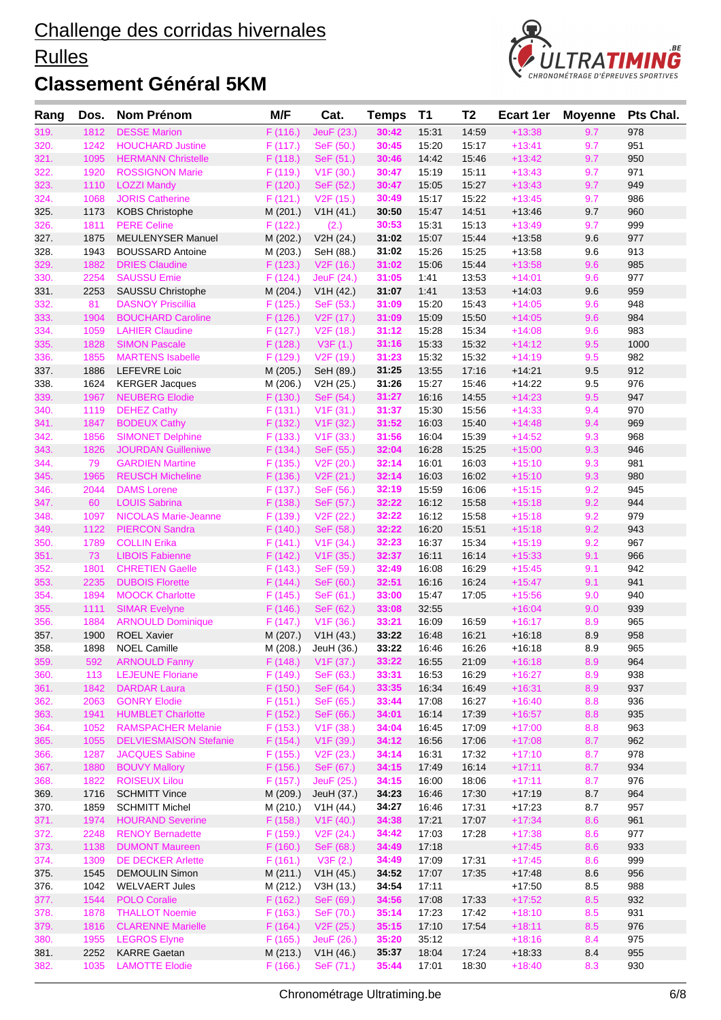#### **Rulles**



| 319.<br>1812<br><b>DESSE Marion</b><br>F(116.)<br>JeuF (23.)<br>14:59<br>$+13:38$<br>9.7<br>30:42<br>15:31<br>978<br>320.<br>1242<br><b>HOUCHARD Justine</b><br>SeF (50.)<br>15:20<br>15:17<br>$+13:41$<br>9.7<br>951<br>F(117.)<br>30:45<br>321.<br>9.7<br>1095<br><b>HERMANN Christelle</b><br>F(118.)<br>SeF (51.)<br>30:46<br>14:42<br>15:46<br>$+13:42$<br>950<br>$+13:43$<br>322.<br>1920<br><b>ROSSIGNON Marie</b><br>F (119.)<br>V <sub>1</sub> F (30.)<br>30:47<br>15:19<br>15:11<br>9.7<br>971<br>323.<br>1110<br><b>LOZZI Mandy</b><br>$+13:43$<br>9.7<br>949<br>F(120.)<br>SeF (52.)<br>15:05<br>15:27<br>30:47<br>15:22<br>$+13:45$<br>9.7<br>324.<br>1068<br><b>JORIS Catherine</b><br>F(121.)<br>V2F(15.)<br>15:17<br>986<br>30:49<br>9.7<br>960<br>325.<br>1173<br><b>KOBS Christophe</b><br>M (201.)<br>V1H (41.)<br>15:47<br>14:51<br>$+13.46$<br>30:50<br>999<br>326.<br>1811<br><b>PERE Celine</b><br>F(122.)<br>30:53<br>15:31<br>15:13<br>$+13:49$<br>9.7<br>(2.)<br>977<br>327.<br>1875<br><b>MEULENYSER Manuel</b><br>15:07<br>15:44<br>$+13.58$<br>9.6<br>M (202.)<br>V2H (24.)<br>31:02<br>1943<br>31:02<br>15:26<br>328.<br><b>BOUSSARD Antoine</b><br>M (203.)<br>SeH (88.)<br>15:25<br>$+13.58$<br>9.6<br>913<br>329.<br>1882<br><b>DRIES Claudine</b><br>F(123.)<br>31:02<br>15:06<br>15:44<br>$+13:58$<br>9.6<br>985<br>V2F(16.)<br>2254<br><b>SAUSSU Emie</b><br>977<br>330.<br>F(124.)<br>JeuF (24.)<br>31:05<br>1:41<br>13:53<br>$+14:01$<br>9.6<br>959<br>331.<br>2253<br>SAUSSU Christophe<br>M (204.)<br>1:41<br>13:53<br>$+14:03$<br>9.6<br>V1H (42.)<br>31:07<br>332.<br>81<br><b>DASNOY Priscillia</b><br>31:09<br>15:20<br>15:43<br>$+14:05$<br>9.6<br>948<br>F(125.)<br>SeF (53.)<br>15:50<br>333.<br>1904<br><b>BOUCHARD Caroline</b><br>F (126.)<br>15:09<br>$+14:05$<br>9.6<br>984<br>V <sub>2</sub> F (17.)<br>31:09<br>334.<br>1059<br><b>LAHIER Claudine</b><br>15:28<br>15:34<br>$+14:08$<br>9.6<br>983<br>F(127.)<br>V2F(18.)<br>31:12<br><b>SIMON Pascale</b><br>9.5<br>335.<br>1828<br>F(128.)<br>V3F(1.)<br>15:33<br>15:32<br>$+14:12$<br>1000<br>31:16<br>1855<br><b>MARTENS Isabelle</b><br>V <sub>2</sub> F (19.)<br>31:23<br>15:32<br>$+14:19$<br>9.5<br>982<br>336.<br>F (129.)<br>15:32<br>337.<br>31:25<br>$+14.21$<br>9.5<br>912<br>1886<br><b>LEFEVRE Loic</b><br>13:55<br>17:16<br>M (205.)<br>SeH (89.)<br>15:27<br>338.<br>1624<br><b>KERGER Jacques</b><br>31:26<br>15:46<br>$+14:22$<br>9.5<br>976<br>M (206.)<br>V2H (25.)<br>$+14:23$<br>9.5<br>947<br>339.<br>1967<br><b>NEUBERG Elodie</b><br>F(130.)<br>SeF (54.)<br>31:27<br>16:16<br>14:55<br>340.<br>1119<br><b>DEHEZ Cathy</b><br>F(131.)<br>31:37<br>15:30<br>15:56<br>$+14:33$<br>9.4<br>970<br>V1F(31.)<br>9.4<br>341.<br>1847<br><b>BODEUX Cathy</b><br>F (132.)<br>V <sub>1</sub> F (32.)<br>31:52<br>16:03<br>15:40<br>$+14:48$<br>969<br>342.<br>1856<br><b>SIMONET Delphine</b><br>F(133.)<br>V <sub>1</sub> F (33.)<br>31:56<br>16:04<br>15:39<br>$+14:52$<br>9.3<br>968<br>343.<br>1826<br>32:04<br>15:25<br>$+15:00$<br>9.3<br><b>JOURDAN Guilleniwe</b><br>F(134.)<br>SeF (55.)<br>16:28<br>946<br>344.<br>79<br><b>GARDIEN Martine</b><br>32:14<br>16:01<br>16:03<br>$+15:10$<br>9.3<br>981<br>F(135.)<br>V <sub>2</sub> F (20.)<br>1965<br><b>REUSCH Micheline</b><br>32:14<br>$+15:10$<br>9.3<br>345.<br>F(136.)<br>V <sub>2</sub> F (21.)<br>16:03<br>16:02<br>980<br><b>DAMS</b> Lorene<br>346.<br>2044<br>F(137.)<br>SeF (56.)<br>32:19<br>15:59<br>16:06<br>$+15:15$<br>9.2<br>945<br>9.2<br>60<br><b>LOUIS Sabrina</b><br>F(138.)<br>15:58<br>$+15:18$<br>944<br>347.<br>SeF (57.)<br>32:22<br>16:12<br>9.2<br>979<br>348.<br>1097<br><b>NICOLAS Marie-Jeanne</b><br>16:12<br>15:58<br>$+15:18$<br>F (139.)<br>V <sub>2</sub> F (22.)<br>32:22<br>349.<br>9.2<br>1122<br><b>PIERCON Sandra</b><br>F(140.)<br>SeF (58.)<br>32:22<br>16:20<br>15:51<br>$+15:18$<br>943 |  |
|----------------------------------------------------------------------------------------------------------------------------------------------------------------------------------------------------------------------------------------------------------------------------------------------------------------------------------------------------------------------------------------------------------------------------------------------------------------------------------------------------------------------------------------------------------------------------------------------------------------------------------------------------------------------------------------------------------------------------------------------------------------------------------------------------------------------------------------------------------------------------------------------------------------------------------------------------------------------------------------------------------------------------------------------------------------------------------------------------------------------------------------------------------------------------------------------------------------------------------------------------------------------------------------------------------------------------------------------------------------------------------------------------------------------------------------------------------------------------------------------------------------------------------------------------------------------------------------------------------------------------------------------------------------------------------------------------------------------------------------------------------------------------------------------------------------------------------------------------------------------------------------------------------------------------------------------------------------------------------------------------------------------------------------------------------------------------------------------------------------------------------------------------------------------------------------------------------------------------------------------------------------------------------------------------------------------------------------------------------------------------------------------------------------------------------------------------------------------------------------------------------------------------------------------------------------------------------------------------------------------------------------------------------------------------------------------------------------------------------------------------------------------------------------------------------------------------------------------------------------------------------------------------------------------------------------------------------------------------------------------------------------------------------------------------------------------------------------------------------------------------------------------------------------------------------------------------------------------------------------------------------------------------------------------------------------------------------------------------------------------------------------------------------------------------------------------------------------------------------------------------------------------------------------------------------------------------------------------------------------------------------------------------------------------------------------------------------------------------------------------------------------------------------------------------------------------------------------------------------------------------------------------------------------------|--|
|                                                                                                                                                                                                                                                                                                                                                                                                                                                                                                                                                                                                                                                                                                                                                                                                                                                                                                                                                                                                                                                                                                                                                                                                                                                                                                                                                                                                                                                                                                                                                                                                                                                                                                                                                                                                                                                                                                                                                                                                                                                                                                                                                                                                                                                                                                                                                                                                                                                                                                                                                                                                                                                                                                                                                                                                                                                                                                                                                                                                                                                                                                                                                                                                                                                                                                                                                                                                                                                                                                                                                                                                                                                                                                                                                                                                                                                                                                                      |  |
|                                                                                                                                                                                                                                                                                                                                                                                                                                                                                                                                                                                                                                                                                                                                                                                                                                                                                                                                                                                                                                                                                                                                                                                                                                                                                                                                                                                                                                                                                                                                                                                                                                                                                                                                                                                                                                                                                                                                                                                                                                                                                                                                                                                                                                                                                                                                                                                                                                                                                                                                                                                                                                                                                                                                                                                                                                                                                                                                                                                                                                                                                                                                                                                                                                                                                                                                                                                                                                                                                                                                                                                                                                                                                                                                                                                                                                                                                                                      |  |
|                                                                                                                                                                                                                                                                                                                                                                                                                                                                                                                                                                                                                                                                                                                                                                                                                                                                                                                                                                                                                                                                                                                                                                                                                                                                                                                                                                                                                                                                                                                                                                                                                                                                                                                                                                                                                                                                                                                                                                                                                                                                                                                                                                                                                                                                                                                                                                                                                                                                                                                                                                                                                                                                                                                                                                                                                                                                                                                                                                                                                                                                                                                                                                                                                                                                                                                                                                                                                                                                                                                                                                                                                                                                                                                                                                                                                                                                                                                      |  |
|                                                                                                                                                                                                                                                                                                                                                                                                                                                                                                                                                                                                                                                                                                                                                                                                                                                                                                                                                                                                                                                                                                                                                                                                                                                                                                                                                                                                                                                                                                                                                                                                                                                                                                                                                                                                                                                                                                                                                                                                                                                                                                                                                                                                                                                                                                                                                                                                                                                                                                                                                                                                                                                                                                                                                                                                                                                                                                                                                                                                                                                                                                                                                                                                                                                                                                                                                                                                                                                                                                                                                                                                                                                                                                                                                                                                                                                                                                                      |  |
|                                                                                                                                                                                                                                                                                                                                                                                                                                                                                                                                                                                                                                                                                                                                                                                                                                                                                                                                                                                                                                                                                                                                                                                                                                                                                                                                                                                                                                                                                                                                                                                                                                                                                                                                                                                                                                                                                                                                                                                                                                                                                                                                                                                                                                                                                                                                                                                                                                                                                                                                                                                                                                                                                                                                                                                                                                                                                                                                                                                                                                                                                                                                                                                                                                                                                                                                                                                                                                                                                                                                                                                                                                                                                                                                                                                                                                                                                                                      |  |
|                                                                                                                                                                                                                                                                                                                                                                                                                                                                                                                                                                                                                                                                                                                                                                                                                                                                                                                                                                                                                                                                                                                                                                                                                                                                                                                                                                                                                                                                                                                                                                                                                                                                                                                                                                                                                                                                                                                                                                                                                                                                                                                                                                                                                                                                                                                                                                                                                                                                                                                                                                                                                                                                                                                                                                                                                                                                                                                                                                                                                                                                                                                                                                                                                                                                                                                                                                                                                                                                                                                                                                                                                                                                                                                                                                                                                                                                                                                      |  |
|                                                                                                                                                                                                                                                                                                                                                                                                                                                                                                                                                                                                                                                                                                                                                                                                                                                                                                                                                                                                                                                                                                                                                                                                                                                                                                                                                                                                                                                                                                                                                                                                                                                                                                                                                                                                                                                                                                                                                                                                                                                                                                                                                                                                                                                                                                                                                                                                                                                                                                                                                                                                                                                                                                                                                                                                                                                                                                                                                                                                                                                                                                                                                                                                                                                                                                                                                                                                                                                                                                                                                                                                                                                                                                                                                                                                                                                                                                                      |  |
|                                                                                                                                                                                                                                                                                                                                                                                                                                                                                                                                                                                                                                                                                                                                                                                                                                                                                                                                                                                                                                                                                                                                                                                                                                                                                                                                                                                                                                                                                                                                                                                                                                                                                                                                                                                                                                                                                                                                                                                                                                                                                                                                                                                                                                                                                                                                                                                                                                                                                                                                                                                                                                                                                                                                                                                                                                                                                                                                                                                                                                                                                                                                                                                                                                                                                                                                                                                                                                                                                                                                                                                                                                                                                                                                                                                                                                                                                                                      |  |
|                                                                                                                                                                                                                                                                                                                                                                                                                                                                                                                                                                                                                                                                                                                                                                                                                                                                                                                                                                                                                                                                                                                                                                                                                                                                                                                                                                                                                                                                                                                                                                                                                                                                                                                                                                                                                                                                                                                                                                                                                                                                                                                                                                                                                                                                                                                                                                                                                                                                                                                                                                                                                                                                                                                                                                                                                                                                                                                                                                                                                                                                                                                                                                                                                                                                                                                                                                                                                                                                                                                                                                                                                                                                                                                                                                                                                                                                                                                      |  |
|                                                                                                                                                                                                                                                                                                                                                                                                                                                                                                                                                                                                                                                                                                                                                                                                                                                                                                                                                                                                                                                                                                                                                                                                                                                                                                                                                                                                                                                                                                                                                                                                                                                                                                                                                                                                                                                                                                                                                                                                                                                                                                                                                                                                                                                                                                                                                                                                                                                                                                                                                                                                                                                                                                                                                                                                                                                                                                                                                                                                                                                                                                                                                                                                                                                                                                                                                                                                                                                                                                                                                                                                                                                                                                                                                                                                                                                                                                                      |  |
|                                                                                                                                                                                                                                                                                                                                                                                                                                                                                                                                                                                                                                                                                                                                                                                                                                                                                                                                                                                                                                                                                                                                                                                                                                                                                                                                                                                                                                                                                                                                                                                                                                                                                                                                                                                                                                                                                                                                                                                                                                                                                                                                                                                                                                                                                                                                                                                                                                                                                                                                                                                                                                                                                                                                                                                                                                                                                                                                                                                                                                                                                                                                                                                                                                                                                                                                                                                                                                                                                                                                                                                                                                                                                                                                                                                                                                                                                                                      |  |
|                                                                                                                                                                                                                                                                                                                                                                                                                                                                                                                                                                                                                                                                                                                                                                                                                                                                                                                                                                                                                                                                                                                                                                                                                                                                                                                                                                                                                                                                                                                                                                                                                                                                                                                                                                                                                                                                                                                                                                                                                                                                                                                                                                                                                                                                                                                                                                                                                                                                                                                                                                                                                                                                                                                                                                                                                                                                                                                                                                                                                                                                                                                                                                                                                                                                                                                                                                                                                                                                                                                                                                                                                                                                                                                                                                                                                                                                                                                      |  |
|                                                                                                                                                                                                                                                                                                                                                                                                                                                                                                                                                                                                                                                                                                                                                                                                                                                                                                                                                                                                                                                                                                                                                                                                                                                                                                                                                                                                                                                                                                                                                                                                                                                                                                                                                                                                                                                                                                                                                                                                                                                                                                                                                                                                                                                                                                                                                                                                                                                                                                                                                                                                                                                                                                                                                                                                                                                                                                                                                                                                                                                                                                                                                                                                                                                                                                                                                                                                                                                                                                                                                                                                                                                                                                                                                                                                                                                                                                                      |  |
|                                                                                                                                                                                                                                                                                                                                                                                                                                                                                                                                                                                                                                                                                                                                                                                                                                                                                                                                                                                                                                                                                                                                                                                                                                                                                                                                                                                                                                                                                                                                                                                                                                                                                                                                                                                                                                                                                                                                                                                                                                                                                                                                                                                                                                                                                                                                                                                                                                                                                                                                                                                                                                                                                                                                                                                                                                                                                                                                                                                                                                                                                                                                                                                                                                                                                                                                                                                                                                                                                                                                                                                                                                                                                                                                                                                                                                                                                                                      |  |
|                                                                                                                                                                                                                                                                                                                                                                                                                                                                                                                                                                                                                                                                                                                                                                                                                                                                                                                                                                                                                                                                                                                                                                                                                                                                                                                                                                                                                                                                                                                                                                                                                                                                                                                                                                                                                                                                                                                                                                                                                                                                                                                                                                                                                                                                                                                                                                                                                                                                                                                                                                                                                                                                                                                                                                                                                                                                                                                                                                                                                                                                                                                                                                                                                                                                                                                                                                                                                                                                                                                                                                                                                                                                                                                                                                                                                                                                                                                      |  |
|                                                                                                                                                                                                                                                                                                                                                                                                                                                                                                                                                                                                                                                                                                                                                                                                                                                                                                                                                                                                                                                                                                                                                                                                                                                                                                                                                                                                                                                                                                                                                                                                                                                                                                                                                                                                                                                                                                                                                                                                                                                                                                                                                                                                                                                                                                                                                                                                                                                                                                                                                                                                                                                                                                                                                                                                                                                                                                                                                                                                                                                                                                                                                                                                                                                                                                                                                                                                                                                                                                                                                                                                                                                                                                                                                                                                                                                                                                                      |  |
|                                                                                                                                                                                                                                                                                                                                                                                                                                                                                                                                                                                                                                                                                                                                                                                                                                                                                                                                                                                                                                                                                                                                                                                                                                                                                                                                                                                                                                                                                                                                                                                                                                                                                                                                                                                                                                                                                                                                                                                                                                                                                                                                                                                                                                                                                                                                                                                                                                                                                                                                                                                                                                                                                                                                                                                                                                                                                                                                                                                                                                                                                                                                                                                                                                                                                                                                                                                                                                                                                                                                                                                                                                                                                                                                                                                                                                                                                                                      |  |
|                                                                                                                                                                                                                                                                                                                                                                                                                                                                                                                                                                                                                                                                                                                                                                                                                                                                                                                                                                                                                                                                                                                                                                                                                                                                                                                                                                                                                                                                                                                                                                                                                                                                                                                                                                                                                                                                                                                                                                                                                                                                                                                                                                                                                                                                                                                                                                                                                                                                                                                                                                                                                                                                                                                                                                                                                                                                                                                                                                                                                                                                                                                                                                                                                                                                                                                                                                                                                                                                                                                                                                                                                                                                                                                                                                                                                                                                                                                      |  |
|                                                                                                                                                                                                                                                                                                                                                                                                                                                                                                                                                                                                                                                                                                                                                                                                                                                                                                                                                                                                                                                                                                                                                                                                                                                                                                                                                                                                                                                                                                                                                                                                                                                                                                                                                                                                                                                                                                                                                                                                                                                                                                                                                                                                                                                                                                                                                                                                                                                                                                                                                                                                                                                                                                                                                                                                                                                                                                                                                                                                                                                                                                                                                                                                                                                                                                                                                                                                                                                                                                                                                                                                                                                                                                                                                                                                                                                                                                                      |  |
|                                                                                                                                                                                                                                                                                                                                                                                                                                                                                                                                                                                                                                                                                                                                                                                                                                                                                                                                                                                                                                                                                                                                                                                                                                                                                                                                                                                                                                                                                                                                                                                                                                                                                                                                                                                                                                                                                                                                                                                                                                                                                                                                                                                                                                                                                                                                                                                                                                                                                                                                                                                                                                                                                                                                                                                                                                                                                                                                                                                                                                                                                                                                                                                                                                                                                                                                                                                                                                                                                                                                                                                                                                                                                                                                                                                                                                                                                                                      |  |
|                                                                                                                                                                                                                                                                                                                                                                                                                                                                                                                                                                                                                                                                                                                                                                                                                                                                                                                                                                                                                                                                                                                                                                                                                                                                                                                                                                                                                                                                                                                                                                                                                                                                                                                                                                                                                                                                                                                                                                                                                                                                                                                                                                                                                                                                                                                                                                                                                                                                                                                                                                                                                                                                                                                                                                                                                                                                                                                                                                                                                                                                                                                                                                                                                                                                                                                                                                                                                                                                                                                                                                                                                                                                                                                                                                                                                                                                                                                      |  |
|                                                                                                                                                                                                                                                                                                                                                                                                                                                                                                                                                                                                                                                                                                                                                                                                                                                                                                                                                                                                                                                                                                                                                                                                                                                                                                                                                                                                                                                                                                                                                                                                                                                                                                                                                                                                                                                                                                                                                                                                                                                                                                                                                                                                                                                                                                                                                                                                                                                                                                                                                                                                                                                                                                                                                                                                                                                                                                                                                                                                                                                                                                                                                                                                                                                                                                                                                                                                                                                                                                                                                                                                                                                                                                                                                                                                                                                                                                                      |  |
|                                                                                                                                                                                                                                                                                                                                                                                                                                                                                                                                                                                                                                                                                                                                                                                                                                                                                                                                                                                                                                                                                                                                                                                                                                                                                                                                                                                                                                                                                                                                                                                                                                                                                                                                                                                                                                                                                                                                                                                                                                                                                                                                                                                                                                                                                                                                                                                                                                                                                                                                                                                                                                                                                                                                                                                                                                                                                                                                                                                                                                                                                                                                                                                                                                                                                                                                                                                                                                                                                                                                                                                                                                                                                                                                                                                                                                                                                                                      |  |
|                                                                                                                                                                                                                                                                                                                                                                                                                                                                                                                                                                                                                                                                                                                                                                                                                                                                                                                                                                                                                                                                                                                                                                                                                                                                                                                                                                                                                                                                                                                                                                                                                                                                                                                                                                                                                                                                                                                                                                                                                                                                                                                                                                                                                                                                                                                                                                                                                                                                                                                                                                                                                                                                                                                                                                                                                                                                                                                                                                                                                                                                                                                                                                                                                                                                                                                                                                                                                                                                                                                                                                                                                                                                                                                                                                                                                                                                                                                      |  |
|                                                                                                                                                                                                                                                                                                                                                                                                                                                                                                                                                                                                                                                                                                                                                                                                                                                                                                                                                                                                                                                                                                                                                                                                                                                                                                                                                                                                                                                                                                                                                                                                                                                                                                                                                                                                                                                                                                                                                                                                                                                                                                                                                                                                                                                                                                                                                                                                                                                                                                                                                                                                                                                                                                                                                                                                                                                                                                                                                                                                                                                                                                                                                                                                                                                                                                                                                                                                                                                                                                                                                                                                                                                                                                                                                                                                                                                                                                                      |  |
|                                                                                                                                                                                                                                                                                                                                                                                                                                                                                                                                                                                                                                                                                                                                                                                                                                                                                                                                                                                                                                                                                                                                                                                                                                                                                                                                                                                                                                                                                                                                                                                                                                                                                                                                                                                                                                                                                                                                                                                                                                                                                                                                                                                                                                                                                                                                                                                                                                                                                                                                                                                                                                                                                                                                                                                                                                                                                                                                                                                                                                                                                                                                                                                                                                                                                                                                                                                                                                                                                                                                                                                                                                                                                                                                                                                                                                                                                                                      |  |
|                                                                                                                                                                                                                                                                                                                                                                                                                                                                                                                                                                                                                                                                                                                                                                                                                                                                                                                                                                                                                                                                                                                                                                                                                                                                                                                                                                                                                                                                                                                                                                                                                                                                                                                                                                                                                                                                                                                                                                                                                                                                                                                                                                                                                                                                                                                                                                                                                                                                                                                                                                                                                                                                                                                                                                                                                                                                                                                                                                                                                                                                                                                                                                                                                                                                                                                                                                                                                                                                                                                                                                                                                                                                                                                                                                                                                                                                                                                      |  |
|                                                                                                                                                                                                                                                                                                                                                                                                                                                                                                                                                                                                                                                                                                                                                                                                                                                                                                                                                                                                                                                                                                                                                                                                                                                                                                                                                                                                                                                                                                                                                                                                                                                                                                                                                                                                                                                                                                                                                                                                                                                                                                                                                                                                                                                                                                                                                                                                                                                                                                                                                                                                                                                                                                                                                                                                                                                                                                                                                                                                                                                                                                                                                                                                                                                                                                                                                                                                                                                                                                                                                                                                                                                                                                                                                                                                                                                                                                                      |  |
|                                                                                                                                                                                                                                                                                                                                                                                                                                                                                                                                                                                                                                                                                                                                                                                                                                                                                                                                                                                                                                                                                                                                                                                                                                                                                                                                                                                                                                                                                                                                                                                                                                                                                                                                                                                                                                                                                                                                                                                                                                                                                                                                                                                                                                                                                                                                                                                                                                                                                                                                                                                                                                                                                                                                                                                                                                                                                                                                                                                                                                                                                                                                                                                                                                                                                                                                                                                                                                                                                                                                                                                                                                                                                                                                                                                                                                                                                                                      |  |
|                                                                                                                                                                                                                                                                                                                                                                                                                                                                                                                                                                                                                                                                                                                                                                                                                                                                                                                                                                                                                                                                                                                                                                                                                                                                                                                                                                                                                                                                                                                                                                                                                                                                                                                                                                                                                                                                                                                                                                                                                                                                                                                                                                                                                                                                                                                                                                                                                                                                                                                                                                                                                                                                                                                                                                                                                                                                                                                                                                                                                                                                                                                                                                                                                                                                                                                                                                                                                                                                                                                                                                                                                                                                                                                                                                                                                                                                                                                      |  |
| 350.<br>1789<br><b>COLLIN Erika</b><br>32:23<br>16:37<br>15:34<br>$+15:19$<br>9.2<br>967<br>F(141.)<br>V1F(34.)                                                                                                                                                                                                                                                                                                                                                                                                                                                                                                                                                                                                                                                                                                                                                                                                                                                                                                                                                                                                                                                                                                                                                                                                                                                                                                                                                                                                                                                                                                                                                                                                                                                                                                                                                                                                                                                                                                                                                                                                                                                                                                                                                                                                                                                                                                                                                                                                                                                                                                                                                                                                                                                                                                                                                                                                                                                                                                                                                                                                                                                                                                                                                                                                                                                                                                                                                                                                                                                                                                                                                                                                                                                                                                                                                                                                      |  |
| 9.1<br>73<br><b>LIBOIS Fabienne</b><br>32:37<br>$+15:33$<br>351.<br>F(142.)<br>V1F(35.)<br>16:11<br>16:14<br>966                                                                                                                                                                                                                                                                                                                                                                                                                                                                                                                                                                                                                                                                                                                                                                                                                                                                                                                                                                                                                                                                                                                                                                                                                                                                                                                                                                                                                                                                                                                                                                                                                                                                                                                                                                                                                                                                                                                                                                                                                                                                                                                                                                                                                                                                                                                                                                                                                                                                                                                                                                                                                                                                                                                                                                                                                                                                                                                                                                                                                                                                                                                                                                                                                                                                                                                                                                                                                                                                                                                                                                                                                                                                                                                                                                                                     |  |
| 1801<br>$+15:45$<br>942<br>352.<br><b>CHRETIEN Gaelle</b><br>F(143.)<br>SeF (59.)<br>32:49<br>16:08<br>16:29<br>9.1                                                                                                                                                                                                                                                                                                                                                                                                                                                                                                                                                                                                                                                                                                                                                                                                                                                                                                                                                                                                                                                                                                                                                                                                                                                                                                                                                                                                                                                                                                                                                                                                                                                                                                                                                                                                                                                                                                                                                                                                                                                                                                                                                                                                                                                                                                                                                                                                                                                                                                                                                                                                                                                                                                                                                                                                                                                                                                                                                                                                                                                                                                                                                                                                                                                                                                                                                                                                                                                                                                                                                                                                                                                                                                                                                                                                  |  |
| 9.1<br>353.<br>2235<br>32:51<br>$+15:47$<br>941<br><b>DUBOIS Florette</b><br>F(144.)<br>SeF (60.)<br>16:16<br>16:24                                                                                                                                                                                                                                                                                                                                                                                                                                                                                                                                                                                                                                                                                                                                                                                                                                                                                                                                                                                                                                                                                                                                                                                                                                                                                                                                                                                                                                                                                                                                                                                                                                                                                                                                                                                                                                                                                                                                                                                                                                                                                                                                                                                                                                                                                                                                                                                                                                                                                                                                                                                                                                                                                                                                                                                                                                                                                                                                                                                                                                                                                                                                                                                                                                                                                                                                                                                                                                                                                                                                                                                                                                                                                                                                                                                                  |  |
| 354.<br>1894<br><b>MOOCK Charlotte</b><br>15:47<br>17:05<br>$+15:56$<br>9.0<br>940<br>F(145.)<br>SeF (61.)<br>33:00                                                                                                                                                                                                                                                                                                                                                                                                                                                                                                                                                                                                                                                                                                                                                                                                                                                                                                                                                                                                                                                                                                                                                                                                                                                                                                                                                                                                                                                                                                                                                                                                                                                                                                                                                                                                                                                                                                                                                                                                                                                                                                                                                                                                                                                                                                                                                                                                                                                                                                                                                                                                                                                                                                                                                                                                                                                                                                                                                                                                                                                                                                                                                                                                                                                                                                                                                                                                                                                                                                                                                                                                                                                                                                                                                                                                  |  |
| 355.<br>1111<br><b>SIMAR Evelyne</b><br>32:55<br>$+16:04$<br>9.0<br>939<br>F(146.)<br>SeF (62.)<br>33:08                                                                                                                                                                                                                                                                                                                                                                                                                                                                                                                                                                                                                                                                                                                                                                                                                                                                                                                                                                                                                                                                                                                                                                                                                                                                                                                                                                                                                                                                                                                                                                                                                                                                                                                                                                                                                                                                                                                                                                                                                                                                                                                                                                                                                                                                                                                                                                                                                                                                                                                                                                                                                                                                                                                                                                                                                                                                                                                                                                                                                                                                                                                                                                                                                                                                                                                                                                                                                                                                                                                                                                                                                                                                                                                                                                                                             |  |
| 356.<br>1884<br><b>ARNOULD Dominique</b><br>33:21<br>16:09<br>16:59<br>$+16:17$<br>8.9<br>965<br>F(147.)<br>V1F(36.)                                                                                                                                                                                                                                                                                                                                                                                                                                                                                                                                                                                                                                                                                                                                                                                                                                                                                                                                                                                                                                                                                                                                                                                                                                                                                                                                                                                                                                                                                                                                                                                                                                                                                                                                                                                                                                                                                                                                                                                                                                                                                                                                                                                                                                                                                                                                                                                                                                                                                                                                                                                                                                                                                                                                                                                                                                                                                                                                                                                                                                                                                                                                                                                                                                                                                                                                                                                                                                                                                                                                                                                                                                                                                                                                                                                                 |  |
| 8.9<br>958<br>357.<br>1900<br><b>ROEL Xavier</b><br>M (207.)<br>V1H (43.)<br>33:22<br>16:48<br>16:21<br>$+16:18$                                                                                                                                                                                                                                                                                                                                                                                                                                                                                                                                                                                                                                                                                                                                                                                                                                                                                                                                                                                                                                                                                                                                                                                                                                                                                                                                                                                                                                                                                                                                                                                                                                                                                                                                                                                                                                                                                                                                                                                                                                                                                                                                                                                                                                                                                                                                                                                                                                                                                                                                                                                                                                                                                                                                                                                                                                                                                                                                                                                                                                                                                                                                                                                                                                                                                                                                                                                                                                                                                                                                                                                                                                                                                                                                                                                                     |  |
| 33:22<br>965<br>358.<br>1898<br><b>NOEL Camille</b><br>M (208.)<br>16:46<br>16:26<br>$+16:18$<br>8.9<br>JeuH (36.)                                                                                                                                                                                                                                                                                                                                                                                                                                                                                                                                                                                                                                                                                                                                                                                                                                                                                                                                                                                                                                                                                                                                                                                                                                                                                                                                                                                                                                                                                                                                                                                                                                                                                                                                                                                                                                                                                                                                                                                                                                                                                                                                                                                                                                                                                                                                                                                                                                                                                                                                                                                                                                                                                                                                                                                                                                                                                                                                                                                                                                                                                                                                                                                                                                                                                                                                                                                                                                                                                                                                                                                                                                                                                                                                                                                                   |  |
| V <sub>1</sub> F (37.)<br>359.<br>592<br><b>ARNOULD Fanny</b><br>F(148.)<br>33:22<br>$+16:18$<br>8.9<br>964<br>16:55<br>21:09                                                                                                                                                                                                                                                                                                                                                                                                                                                                                                                                                                                                                                                                                                                                                                                                                                                                                                                                                                                                                                                                                                                                                                                                                                                                                                                                                                                                                                                                                                                                                                                                                                                                                                                                                                                                                                                                                                                                                                                                                                                                                                                                                                                                                                                                                                                                                                                                                                                                                                                                                                                                                                                                                                                                                                                                                                                                                                                                                                                                                                                                                                                                                                                                                                                                                                                                                                                                                                                                                                                                                                                                                                                                                                                                                                                        |  |
| SeF (63.)<br>938<br>360.<br>113<br><b>LEJEUNE Floriane</b><br>F (149.)<br>33:31<br>16:53<br>16:29<br>$+16:27$<br>8.9                                                                                                                                                                                                                                                                                                                                                                                                                                                                                                                                                                                                                                                                                                                                                                                                                                                                                                                                                                                                                                                                                                                                                                                                                                                                                                                                                                                                                                                                                                                                                                                                                                                                                                                                                                                                                                                                                                                                                                                                                                                                                                                                                                                                                                                                                                                                                                                                                                                                                                                                                                                                                                                                                                                                                                                                                                                                                                                                                                                                                                                                                                                                                                                                                                                                                                                                                                                                                                                                                                                                                                                                                                                                                                                                                                                                 |  |
| 1842<br>361.<br><b>DARDAR Laura</b><br>F(150.)<br>SeF (64.)<br>33:35<br>16:34<br>$+16:31$<br>8.9<br>937<br>16:49                                                                                                                                                                                                                                                                                                                                                                                                                                                                                                                                                                                                                                                                                                                                                                                                                                                                                                                                                                                                                                                                                                                                                                                                                                                                                                                                                                                                                                                                                                                                                                                                                                                                                                                                                                                                                                                                                                                                                                                                                                                                                                                                                                                                                                                                                                                                                                                                                                                                                                                                                                                                                                                                                                                                                                                                                                                                                                                                                                                                                                                                                                                                                                                                                                                                                                                                                                                                                                                                                                                                                                                                                                                                                                                                                                                                     |  |
| 2063<br><b>GONRY Elodie</b><br>F(151.)<br>33:44<br>17:08<br>16:27<br>$+16:40$<br>8.8<br>936<br>362.<br>SeF (65.)                                                                                                                                                                                                                                                                                                                                                                                                                                                                                                                                                                                                                                                                                                                                                                                                                                                                                                                                                                                                                                                                                                                                                                                                                                                                                                                                                                                                                                                                                                                                                                                                                                                                                                                                                                                                                                                                                                                                                                                                                                                                                                                                                                                                                                                                                                                                                                                                                                                                                                                                                                                                                                                                                                                                                                                                                                                                                                                                                                                                                                                                                                                                                                                                                                                                                                                                                                                                                                                                                                                                                                                                                                                                                                                                                                                                     |  |
| 8.8<br>363.<br>1941<br><b>HUMBLET Charlotte</b><br>F(152.)<br>SeF (66.)<br>34:01<br>16:14<br>17:39<br>$+16:57$<br>935                                                                                                                                                                                                                                                                                                                                                                                                                                                                                                                                                                                                                                                                                                                                                                                                                                                                                                                                                                                                                                                                                                                                                                                                                                                                                                                                                                                                                                                                                                                                                                                                                                                                                                                                                                                                                                                                                                                                                                                                                                                                                                                                                                                                                                                                                                                                                                                                                                                                                                                                                                                                                                                                                                                                                                                                                                                                                                                                                                                                                                                                                                                                                                                                                                                                                                                                                                                                                                                                                                                                                                                                                                                                                                                                                                                                |  |
| $+17:00$<br>364.<br>1052<br><b>RAMSPACHER Melanie</b><br>F(153.)<br>V <sub>1</sub> F (38.)<br>34:04<br>16:45<br>17:09<br>8.8<br>963                                                                                                                                                                                                                                                                                                                                                                                                                                                                                                                                                                                                                                                                                                                                                                                                                                                                                                                                                                                                                                                                                                                                                                                                                                                                                                                                                                                                                                                                                                                                                                                                                                                                                                                                                                                                                                                                                                                                                                                                                                                                                                                                                                                                                                                                                                                                                                                                                                                                                                                                                                                                                                                                                                                                                                                                                                                                                                                                                                                                                                                                                                                                                                                                                                                                                                                                                                                                                                                                                                                                                                                                                                                                                                                                                                                  |  |
| 8.7<br>365.<br>1055<br><b>DELVIESMAISON Stefanie</b><br>F(154.)<br>V <sub>1</sub> F (39.)<br>34:12<br>16:56<br>17:06<br>$+17:08$<br>962                                                                                                                                                                                                                                                                                                                                                                                                                                                                                                                                                                                                                                                                                                                                                                                                                                                                                                                                                                                                                                                                                                                                                                                                                                                                                                                                                                                                                                                                                                                                                                                                                                                                                                                                                                                                                                                                                                                                                                                                                                                                                                                                                                                                                                                                                                                                                                                                                                                                                                                                                                                                                                                                                                                                                                                                                                                                                                                                                                                                                                                                                                                                                                                                                                                                                                                                                                                                                                                                                                                                                                                                                                                                                                                                                                              |  |
| 366.<br>1287<br><b>JACQUES Sabine</b><br>F(155.)<br>V2F(23.)<br>34:14<br>16:31<br>17:32<br>$+17:10$<br>8.7<br>978                                                                                                                                                                                                                                                                                                                                                                                                                                                                                                                                                                                                                                                                                                                                                                                                                                                                                                                                                                                                                                                                                                                                                                                                                                                                                                                                                                                                                                                                                                                                                                                                                                                                                                                                                                                                                                                                                                                                                                                                                                                                                                                                                                                                                                                                                                                                                                                                                                                                                                                                                                                                                                                                                                                                                                                                                                                                                                                                                                                                                                                                                                                                                                                                                                                                                                                                                                                                                                                                                                                                                                                                                                                                                                                                                                                                    |  |
| <b>BOUVY Mallory</b><br>34:15<br>8.7<br>367.<br>1880<br>F(156.)<br>SeF (67.)<br>17:49<br>16:14<br>$+17:11$<br>934                                                                                                                                                                                                                                                                                                                                                                                                                                                                                                                                                                                                                                                                                                                                                                                                                                                                                                                                                                                                                                                                                                                                                                                                                                                                                                                                                                                                                                                                                                                                                                                                                                                                                                                                                                                                                                                                                                                                                                                                                                                                                                                                                                                                                                                                                                                                                                                                                                                                                                                                                                                                                                                                                                                                                                                                                                                                                                                                                                                                                                                                                                                                                                                                                                                                                                                                                                                                                                                                                                                                                                                                                                                                                                                                                                                                    |  |
| 1822<br>368.<br><b>ROISEUX Lilou</b><br>F(157.)<br>JeuF (25.)<br>34:15<br>16:00<br>18:06<br>976<br>$+17:11$<br>8.7                                                                                                                                                                                                                                                                                                                                                                                                                                                                                                                                                                                                                                                                                                                                                                                                                                                                                                                                                                                                                                                                                                                                                                                                                                                                                                                                                                                                                                                                                                                                                                                                                                                                                                                                                                                                                                                                                                                                                                                                                                                                                                                                                                                                                                                                                                                                                                                                                                                                                                                                                                                                                                                                                                                                                                                                                                                                                                                                                                                                                                                                                                                                                                                                                                                                                                                                                                                                                                                                                                                                                                                                                                                                                                                                                                                                   |  |
| 1716<br><b>SCHMITT Vince</b><br>M (209.)<br>JeuH (37.)<br>16:46<br>17:30<br>$+17:19$<br>8.7<br>964<br>369.<br>34:23                                                                                                                                                                                                                                                                                                                                                                                                                                                                                                                                                                                                                                                                                                                                                                                                                                                                                                                                                                                                                                                                                                                                                                                                                                                                                                                                                                                                                                                                                                                                                                                                                                                                                                                                                                                                                                                                                                                                                                                                                                                                                                                                                                                                                                                                                                                                                                                                                                                                                                                                                                                                                                                                                                                                                                                                                                                                                                                                                                                                                                                                                                                                                                                                                                                                                                                                                                                                                                                                                                                                                                                                                                                                                                                                                                                                  |  |
| 370.<br>1859<br><b>SCHMITT Michel</b><br>M (210.)<br>V1H (44.)<br>34:27<br>16:46<br>17:31<br>$+17:23$<br>8.7<br>957                                                                                                                                                                                                                                                                                                                                                                                                                                                                                                                                                                                                                                                                                                                                                                                                                                                                                                                                                                                                                                                                                                                                                                                                                                                                                                                                                                                                                                                                                                                                                                                                                                                                                                                                                                                                                                                                                                                                                                                                                                                                                                                                                                                                                                                                                                                                                                                                                                                                                                                                                                                                                                                                                                                                                                                                                                                                                                                                                                                                                                                                                                                                                                                                                                                                                                                                                                                                                                                                                                                                                                                                                                                                                                                                                                                                  |  |
| 371.<br>1974<br><b>HOURAND Severine</b><br>F(158.)<br>V1F(40.)<br>34:38<br>17:21<br>17:07<br>$+17:34$<br>8.6<br>961<br>372.<br>2248<br><b>RENOY Bernadette</b><br>F (159.)<br>V <sub>2</sub> F (24.)<br>17:03<br>17:28<br>$+17:38$<br>8.6<br>977<br>34:42                                                                                                                                                                                                                                                                                                                                                                                                                                                                                                                                                                                                                                                                                                                                                                                                                                                                                                                                                                                                                                                                                                                                                                                                                                                                                                                                                                                                                                                                                                                                                                                                                                                                                                                                                                                                                                                                                                                                                                                                                                                                                                                                                                                                                                                                                                                                                                                                                                                                                                                                                                                                                                                                                                                                                                                                                                                                                                                                                                                                                                                                                                                                                                                                                                                                                                                                                                                                                                                                                                                                                                                                                                                            |  |
| 34:49                                                                                                                                                                                                                                                                                                                                                                                                                                                                                                                                                                                                                                                                                                                                                                                                                                                                                                                                                                                                                                                                                                                                                                                                                                                                                                                                                                                                                                                                                                                                                                                                                                                                                                                                                                                                                                                                                                                                                                                                                                                                                                                                                                                                                                                                                                                                                                                                                                                                                                                                                                                                                                                                                                                                                                                                                                                                                                                                                                                                                                                                                                                                                                                                                                                                                                                                                                                                                                                                                                                                                                                                                                                                                                                                                                                                                                                                                                                |  |
| 1138<br><b>DUMONT Maureen</b><br>373.<br>F(160.)<br>SeF (68.)<br>17:18<br>$+17:45$<br>8.6<br>933<br>34:49<br>374.<br>1309<br><b>DE DECKER Arlette</b><br>F(161.)<br>V3F(2.)<br>17:09<br>17:31<br>$+17:45$<br>8.6<br>999                                                                                                                                                                                                                                                                                                                                                                                                                                                                                                                                                                                                                                                                                                                                                                                                                                                                                                                                                                                                                                                                                                                                                                                                                                                                                                                                                                                                                                                                                                                                                                                                                                                                                                                                                                                                                                                                                                                                                                                                                                                                                                                                                                                                                                                                                                                                                                                                                                                                                                                                                                                                                                                                                                                                                                                                                                                                                                                                                                                                                                                                                                                                                                                                                                                                                                                                                                                                                                                                                                                                                                                                                                                                                              |  |
| 375.<br>1545<br><b>DEMOULIN Simon</b><br>M (211.)<br>V1H (45.)<br>34:52<br>17:07<br>17:35<br>$+17.48$<br>8.6<br>956                                                                                                                                                                                                                                                                                                                                                                                                                                                                                                                                                                                                                                                                                                                                                                                                                                                                                                                                                                                                                                                                                                                                                                                                                                                                                                                                                                                                                                                                                                                                                                                                                                                                                                                                                                                                                                                                                                                                                                                                                                                                                                                                                                                                                                                                                                                                                                                                                                                                                                                                                                                                                                                                                                                                                                                                                                                                                                                                                                                                                                                                                                                                                                                                                                                                                                                                                                                                                                                                                                                                                                                                                                                                                                                                                                                                  |  |
| 376.<br>1042<br><b>WELVAERT Jules</b><br>M (212.)<br>$+17:50$<br>8.5<br>988<br>V3H (13.)<br>34:54<br>17:11                                                                                                                                                                                                                                                                                                                                                                                                                                                                                                                                                                                                                                                                                                                                                                                                                                                                                                                                                                                                                                                                                                                                                                                                                                                                                                                                                                                                                                                                                                                                                                                                                                                                                                                                                                                                                                                                                                                                                                                                                                                                                                                                                                                                                                                                                                                                                                                                                                                                                                                                                                                                                                                                                                                                                                                                                                                                                                                                                                                                                                                                                                                                                                                                                                                                                                                                                                                                                                                                                                                                                                                                                                                                                                                                                                                                           |  |
| 377.<br>1544<br><b>POLO Coralie</b><br>F(162.)<br>SeF (69.)<br>34:56<br>17:08<br>17:33<br>$+17:52$<br>8.5<br>932                                                                                                                                                                                                                                                                                                                                                                                                                                                                                                                                                                                                                                                                                                                                                                                                                                                                                                                                                                                                                                                                                                                                                                                                                                                                                                                                                                                                                                                                                                                                                                                                                                                                                                                                                                                                                                                                                                                                                                                                                                                                                                                                                                                                                                                                                                                                                                                                                                                                                                                                                                                                                                                                                                                                                                                                                                                                                                                                                                                                                                                                                                                                                                                                                                                                                                                                                                                                                                                                                                                                                                                                                                                                                                                                                                                                     |  |
| 378.<br>1878<br><b>THALLOT Noemie</b><br>F(163.)<br>SeF (70.)<br>35:14<br>17:23<br>17:42<br>$+18:10$<br>8.5<br>931                                                                                                                                                                                                                                                                                                                                                                                                                                                                                                                                                                                                                                                                                                                                                                                                                                                                                                                                                                                                                                                                                                                                                                                                                                                                                                                                                                                                                                                                                                                                                                                                                                                                                                                                                                                                                                                                                                                                                                                                                                                                                                                                                                                                                                                                                                                                                                                                                                                                                                                                                                                                                                                                                                                                                                                                                                                                                                                                                                                                                                                                                                                                                                                                                                                                                                                                                                                                                                                                                                                                                                                                                                                                                                                                                                                                   |  |
| 8.5<br>976<br>379.<br>1816<br><b>CLARENNE Marielle</b><br>F(164.)<br>V2F(25.)<br>35:15<br>17:10<br>17:54<br>$+18:11$                                                                                                                                                                                                                                                                                                                                                                                                                                                                                                                                                                                                                                                                                                                                                                                                                                                                                                                                                                                                                                                                                                                                                                                                                                                                                                                                                                                                                                                                                                                                                                                                                                                                                                                                                                                                                                                                                                                                                                                                                                                                                                                                                                                                                                                                                                                                                                                                                                                                                                                                                                                                                                                                                                                                                                                                                                                                                                                                                                                                                                                                                                                                                                                                                                                                                                                                                                                                                                                                                                                                                                                                                                                                                                                                                                                                 |  |
| 380.<br>1955<br><b>LEGROS Elyne</b><br>F(165.)<br>JeuF (26.)<br>35:20<br>35:12<br>$+18:16$<br>8.4<br>975                                                                                                                                                                                                                                                                                                                                                                                                                                                                                                                                                                                                                                                                                                                                                                                                                                                                                                                                                                                                                                                                                                                                                                                                                                                                                                                                                                                                                                                                                                                                                                                                                                                                                                                                                                                                                                                                                                                                                                                                                                                                                                                                                                                                                                                                                                                                                                                                                                                                                                                                                                                                                                                                                                                                                                                                                                                                                                                                                                                                                                                                                                                                                                                                                                                                                                                                                                                                                                                                                                                                                                                                                                                                                                                                                                                                             |  |
| 381.<br>2252<br><b>KARRE Gaetan</b><br>M (213.)<br>V1H (46.)<br>35:37<br>18:04<br>17:24<br>$+18.33$<br>8.4<br>955                                                                                                                                                                                                                                                                                                                                                                                                                                                                                                                                                                                                                                                                                                                                                                                                                                                                                                                                                                                                                                                                                                                                                                                                                                                                                                                                                                                                                                                                                                                                                                                                                                                                                                                                                                                                                                                                                                                                                                                                                                                                                                                                                                                                                                                                                                                                                                                                                                                                                                                                                                                                                                                                                                                                                                                                                                                                                                                                                                                                                                                                                                                                                                                                                                                                                                                                                                                                                                                                                                                                                                                                                                                                                                                                                                                                    |  |
| 35:44<br>382.<br>1035<br><b>LAMOTTE Elodie</b><br>F(166.)<br>17:01<br>18:30<br>$+18:40$<br>8.3<br>930<br>SeF (71.)                                                                                                                                                                                                                                                                                                                                                                                                                                                                                                                                                                                                                                                                                                                                                                                                                                                                                                                                                                                                                                                                                                                                                                                                                                                                                                                                                                                                                                                                                                                                                                                                                                                                                                                                                                                                                                                                                                                                                                                                                                                                                                                                                                                                                                                                                                                                                                                                                                                                                                                                                                                                                                                                                                                                                                                                                                                                                                                                                                                                                                                                                                                                                                                                                                                                                                                                                                                                                                                                                                                                                                                                                                                                                                                                                                                                   |  |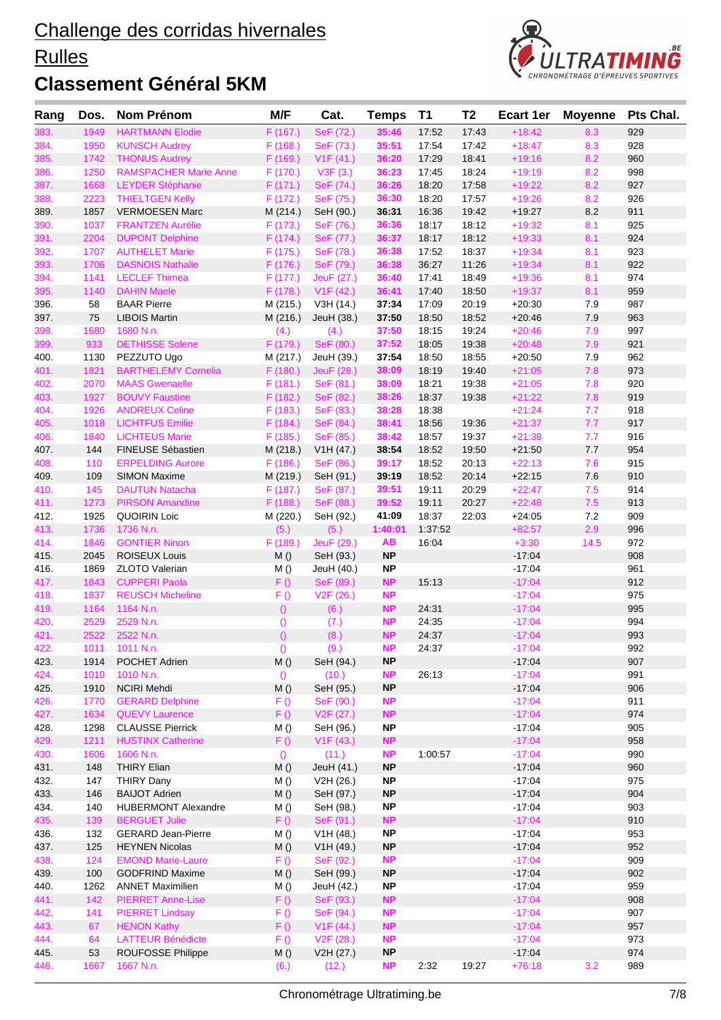#### **Rulles**



| Rang         | Dos.         | <b>Nom Prénom</b>                               | M/F                     | Cat.                                | <b>Temps</b>           | <b>T1</b>        | T <sub>2</sub> | <b>Ecart 1er</b>     | <b>Moyenne</b> | Pts Chal.  |
|--------------|--------------|-------------------------------------------------|-------------------------|-------------------------------------|------------------------|------------------|----------------|----------------------|----------------|------------|
| 383.         | 1949         | <b>HARTMANN Elodie</b>                          | F(167.)                 | SeF (72.)                           | 35:46                  | 17:52            | 17:43          | $+18:42$             | 8.3            | 929        |
| 384.         | 1950         | <b>KUNSCH Audrey</b>                            | F(168.)                 | SeF (73.)                           | 35:51                  | 17:54            | 17:42          | $+18:47$             | 8.3            | 928        |
| 385.         | 1742         | <b>THONUS Audrey</b>                            | F (169.)                | V1F(41.)                            | 36:20                  | 17:29            | 18:41          | $+19:16$             | 8.2            | 960        |
| 386.         | 1250         | <b>RAMSPACHER Marie Anne</b>                    | F (170.)                | V3F(3.)                             | 36:23                  | 17:45            | 18:24          | $+19:19$             | 8.2            | 998        |
| 387.         | 1668         | <b>LEYDER Stéphanie</b>                         | F(171.)                 | SeF (74.)                           | 36:26                  | 18:20            | 17:58          | $+19:22$             | 8.2            | 927        |
| 388.         | 2223         | <b>THIELTGEN Kelly</b>                          | F(172.)                 | SeF (75.)                           | 36:30                  | 18:20            | 17:57          | $+19:26$             | 8.2            | 926        |
| 389.         | 1857         | <b>VERMOESEN Marc</b>                           | M (214.)                | SeH (90.)                           | 36:31                  | 16:36            | 19:42          | $+19.27$             | 8.2            | 911        |
| 390.         | 1037         | <b>FRANTZEN Aurélie</b>                         | F(173.)                 | SeF (76.)                           | 36:36                  | 18:17            | 18:12          | $+19:32$             | 8.1            | 925        |
| 391.         | 2204         | <b>DUPONT Delphine</b>                          | F(174.)                 | SeF (77.)                           | 36:37                  | 18:17            | 18:12          | $+19:33$             | 8.1            | 924        |
| 392.         | 1707         | <b>AUTHELET Marie</b>                           | F (175.)                | SeF (78.)                           | 36:38                  | 17:52            | 18:37          | $+19:34$             | 8.1            | 923        |
| 393.         | 1706         | <b>DASNOIS Nathalie</b><br><b>LECLEF Thimea</b> | F (176.)<br>F(177.)     | SeF (79.)                           | 36:38                  | 36:27            | 11:26          | $+19:34$             | 8.1            | 922        |
| 394.<br>395. | 1141<br>1140 | <b>DAHIN Maele</b>                              | F (178.)                | JeuF (27.)                          | 36:40                  | 17:41<br>17:40   | 18:49<br>18:50 | $+19:36$<br>$+19:37$ | 8.1<br>8.1     | 974<br>959 |
| 396.         | 58           | <b>BAAR Pierre</b>                              | M (215.)                | V <sub>1</sub> F (42.)<br>V3H (14.) | 36:41<br>37:34         | 17:09            | 20:19          | $+20:30$             | 7.9            | 987        |
| 397.         | 75           | <b>LIBOIS Martin</b>                            | M (216.)                | JeuH (38.)                          | 37:50                  | 18:50            | 18:52          | $+20:46$             | 7.9            | 963        |
| 398.         | 1680         | 1680 N.n.                                       | (4.)                    | (4.)                                | 37:50                  | 18:15            | 19:24          | $+20:46$             | 7.9            | 997        |
| 399.         | 933          | <b>DETHISSE Solene</b>                          | F (179.)                | SeF (80.)                           | 37:52                  | 18:05            | 19:38          | $+20:48$             | 7.9            | 921        |
| 400.         | 1130         | PEZZUTO Ugo                                     | M (217.)                | JeuH (39.)                          | 37:54                  | 18:50            | 18:55          | $+20:50$             | 7.9            | 962        |
| 401.         | 1821         | <b>BARTHELEMY Cornelia</b>                      | F (180.)                | JeuF (28.)                          | 38:09                  | 18:19            | 19:40          | $+21:05$             | 7.8            | 973        |
| 402.         | 2070         | <b>MAAS Gwenaelle</b>                           | F(181.)                 | SeF (81.)                           | 38:09                  | 18:21            | 19:38          | $+21:05$             | 7.8            | 920        |
| 403.         | 1927         | <b>BOUVY Faustine</b>                           | F(182.)                 | SeF (82.)                           | 38:26                  | 18:37            | 19:38          | $+21:22$             | 7.8            | 919        |
| 404.         | 1926         | <b>ANDREUX Celine</b>                           | F(183.)                 | SeF (83.)                           | 38:28                  | 18:38            |                | $+21:24$             | 7.7            | 918        |
| 405.         | 1018         | <b>LICHTFUS Emilie</b>                          | F(184.)                 | SeF (84.)                           | 38:41                  | 18:56            | 19:36          | $+21:37$             | 7.7            | 917        |
| 406.         | 1840         | <b>LICHTEUS Marie</b>                           | F(185.)                 | SeF (85.)                           | 38:42                  | 18:57            | 19:37          | $+21:38$             | 7.7            | 916        |
| 407.         | 144          | FINEUSE Sébastien                               | M (218.)                | V1H (47.)                           | 38:54                  | 18:52            | 19:50          | $+21:50$             | 7.7            | 954        |
| 408.         | 110          | <b>ERPELDING Aurore</b>                         | F(186.)                 | SeF (86.)                           | 39:17                  | 18:52            | 20:13          | $+22:13$             | 7.6            | 915        |
| 409.         | 109          | <b>SIMON Maxime</b>                             | M (219.)                | SeH (91.)                           | 39:19                  | 18:52            | 20:14          | $+22:15$             | 7.6            | 910        |
| 410.         | 145          | <b>DAUTUN Natacha</b>                           | F (187.)                | SeF (87.)                           | 39:51                  | 19:11            | 20:29          | $+22:47$             | 7.5            | 914        |
| 411.         | 1273         | <b>PIRSON Amandine</b>                          | F(188.)                 | SeF (88.)                           | 39:52                  | 19:11            | 20:27          | $+22:48$             | 7.5            | 913        |
| 412.<br>413. | 1925<br>1736 | <b>QUOIRIN Loic</b><br>1736 N.n.                | M (220.)<br>(5.)        | SeH (92.)<br>(5.)                   | 41:09<br>1:40:01       | 18:37<br>1:37:52 | 22:03          | $+24:05$<br>$+82:57$ | 7.2<br>2.9     | 909<br>996 |
| 414.         | 1846         | <b>GONTIER Ninon</b>                            | F(189.)                 | JeuF (29.)                          | AВ                     | 16:04            |                | $+3:30$              | 14.5           | 972        |
| 415.         | 2045         | <b>ROISEUX Louis</b>                            | M()                     | SeH (93.)                           | <b>NP</b>              |                  |                | $-17:04$             |                | 908        |
| 416.         | 1869         | <b>ZLOTO Valerian</b>                           | M()                     | JeuH (40.)                          | <b>NP</b>              |                  |                | $-17:04$             |                | 961        |
| 417.         | 1843         | <b>CUPPERI Paola</b>                            | F()                     | SeF (89.)                           | NP                     | 15:13            |                | $-17:04$             |                | 912        |
| 418.         | 1837         | <b>REUSCH Micheline</b>                         | F()                     | V <sub>2</sub> F (26.)              | <b>NP</b>              |                  |                | $-17:04$             |                | 975        |
| 419.         | 1164         | 1164 N.n.                                       | $\theta$                | (6.)                                | <b>NP</b>              | 24:31            |                | $-17:04$             |                | 995        |
| 420.         | 2529         | 2529 N.n.                                       | $\theta$                | (7.)                                | <b>NP</b>              | 24:35            |                | $-17:04$             |                | 994        |
| 421.         | 2522         | 2522 N.n.                                       | $\overline{O}$          | (8.)                                | <b>NP</b>              | 24:37            |                | $-17:04$             |                | 993        |
| 422.         |              | 1011 1011 N.n.                                  | $\left( \right)$        | (9.)                                | <b>NP</b>              | 24:37            |                | $-17:04$             |                | 992        |
| 423.         | 1914         | POCHET Adrien                                   | M()                     | SeH (94.)                           | NP                     |                  |                | $-17:04$             |                | 907        |
| 424.         | 1010         | 1010 N.n.                                       | $\left( \right)$        | (10.)                               | <b>NP</b>              | 26:13            |                | $-17:04$             |                | 991        |
| 425.         | 1910         | <b>NCIRI Mehdi</b>                              | M()                     | SeH (95.)                           | <b>NP</b>              |                  |                | $-17:04$             |                | 906        |
| 426.         | 1770         | <b>GERARD Delphine</b>                          | F()                     | SeF (90.)                           | <b>NP</b>              |                  |                | $-17:04$             |                | 911        |
| 427.         | 1634         | <b>QUEVY Laurence</b>                           | F()                     | V <sub>2</sub> F (27.)              | <b>NP</b>              |                  |                | $-17:04$             |                | 974        |
| 428.         | 1298         | <b>CLAUSSE Pierrick</b>                         | M ()                    | SeH (96.)                           | NP.                    |                  |                | $-17:04$             |                | 905        |
| 429.<br>430. | 1211<br>1606 | <b>HUSTINX Catherine</b><br>1606 N.n.           | F()                     | V1F(43.)                            | <b>NP</b><br><b>NP</b> | 1:00:57          |                | $-17:04$<br>$-17:04$ |                | 958<br>990 |
| 431.         | 148          | <b>THIRY Elian</b>                              | $\left( \right)$<br>M() | (11.)<br>JeuH (41.)                 | <b>NP</b>              |                  |                | $-17:04$             |                | 960        |
| 432.         | 147          | <b>THIRY Dany</b>                               | M ()                    | V2H (26.)                           | <b>NP</b>              |                  |                | $-17:04$             |                | 975        |
| 433.         | 146          | <b>BAIJOT Adrien</b>                            | M()                     | SeH (97.)                           | <b>NP</b>              |                  |                | $-17:04$             |                | 904        |
| 434.         | 140          | <b>HUBERMONT Alexandre</b>                      | M ()                    | SeH (98.)                           | <b>NP</b>              |                  |                | $-17:04$             |                | 903        |
| 435.         | 139          | <b>BERGUET Julie</b>                            | F()                     | SeF (91.)                           | <b>NP</b>              |                  |                | $-17:04$             |                | 910        |
| 436.         | 132          | <b>GERARD Jean-Pierre</b>                       | M()                     | V1H (48.)                           | <b>NP</b>              |                  |                | $-17:04$             |                | 953        |
| 437.         | 125          | <b>HEYNEN Nicolas</b>                           | M()                     | V1H(49.)                            | <b>NP</b>              |                  |                | $-17:04$             |                | 952        |
| 438.         | 124          | <b>EMOND Marie-Laure</b>                        | F()                     | SeF (92.)                           | <b>NP</b>              |                  |                | $-17:04$             |                | 909        |
| 439.         | 100          | <b>GODFRIND Maxime</b>                          | M()                     | SeH (99.)                           | <b>NP</b>              |                  |                | $-17:04$             |                | 902        |
| 440.         | 1262         | <b>ANNET Maximilien</b>                         | M ()                    | JeuH (42.)                          | <b>NP</b>              |                  |                | $-17:04$             |                | 959        |
| 441.         | 142          | <b>PIERRET Anne-Lise</b>                        | F()                     | SeF (93.)                           | <b>NP</b>              |                  |                | $-17:04$             |                | 908        |
| 442.         | 141          | <b>PIERRET Lindsay</b>                          | F()                     | SeF (94.)                           | <b>NP</b>              |                  |                | $-17:04$             |                | 907        |
| 443.         | 67           | <b>HENON Kathy</b>                              | F()                     | V <sub>1</sub> F (44.)              | <b>NP</b>              |                  |                | $-17:04$             |                | 957        |
| 444.         | 64           | <b>LATTEUR Bénédicte</b>                        | F()                     | V2F(28.)                            | <b>NP</b>              |                  |                | $-17:04$             |                | 973        |
| 445.         | 53           | <b>ROUFOSSE Philippe</b>                        | M()                     | V2H (27.)                           | <b>NP</b>              |                  |                | $-17:04$             |                | 974        |
| 446.         | 1667         | 1667 N.n.                                       | (6.)                    | (12.)                               | <b>NP</b>              | 2:32             | 19:27          | $+76:18$             | 3.2            | 989        |